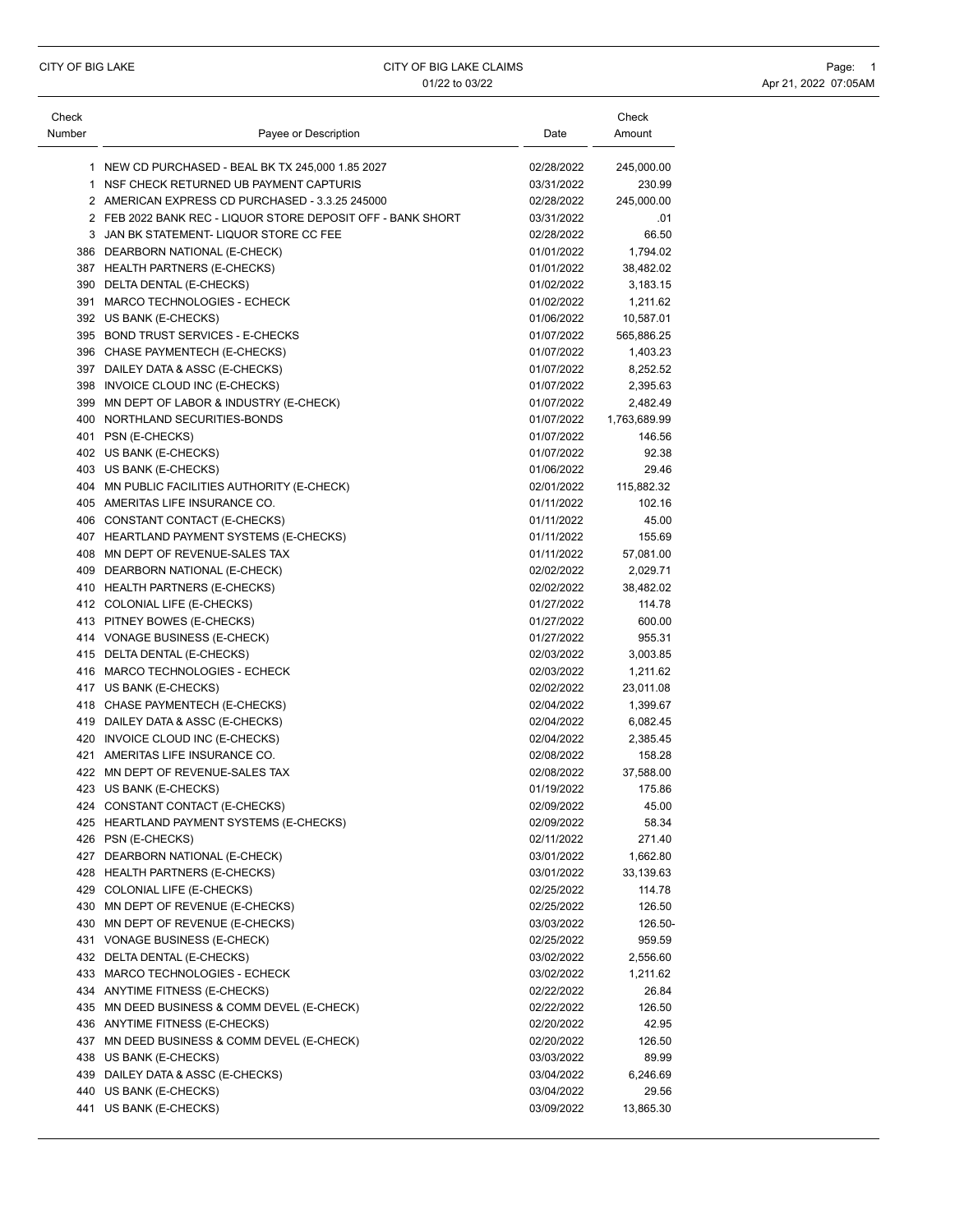| Check  |                                                             |            | Check        |
|--------|-------------------------------------------------------------|------------|--------------|
| Number | Payee or Description                                        | Date       | Amount       |
|        | 1 NEW CD PURCHASED - BEAL BK TX 245,000 1.85 2027           | 02/28/2022 | 245,000.00   |
|        | 1 NSF CHECK RETURNED UB PAYMENT CAPTURIS                    | 03/31/2022 | 230.99       |
|        | 2 AMERICAN EXPRESS CD PURCHASED - 3.3.25 245000             | 02/28/2022 | 245,000.00   |
|        | 2 FEB 2022 BANK REC - LIQUOR STORE DEPOSIT OFF - BANK SHORT | 03/31/2022 | .01          |
|        | 3 JAN BK STATEMENT- LIQUOR STORE CC FEE                     | 02/28/2022 | 66.50        |
|        | 386 DEARBORN NATIONAL (E-CHECK)                             | 01/01/2022 | 1,794.02     |
|        | 387 HEALTH PARTNERS (E-CHECKS)                              | 01/01/2022 | 38,482.02    |
|        | 390 DELTA DENTAL (E-CHECKS)                                 | 01/02/2022 | 3,183.15     |
|        | 391 MARCO TECHNOLOGIES - ECHECK                             | 01/02/2022 | 1,211.62     |
|        | 392 US BANK (E-CHECKS)                                      | 01/06/2022 | 10,587.01    |
|        | 395 BOND TRUST SERVICES - E-CHECKS                          | 01/07/2022 | 565,886.25   |
|        | 396 CHASE PAYMENTECH (E-CHECKS)                             | 01/07/2022 | 1,403.23     |
|        | 397 DAILEY DATA & ASSC (E-CHECKS)                           | 01/07/2022 | 8,252.52     |
|        | 398 INVOICE CLOUD INC (E-CHECKS)                            | 01/07/2022 | 2,395.63     |
|        | 399 MN DEPT OF LABOR & INDUSTRY (E-CHECK)                   | 01/07/2022 | 2,482.49     |
|        | 400 NORTHLAND SECURITIES-BONDS                              | 01/07/2022 | 1,763,689.99 |
|        | 401 PSN (E-CHECKS)                                          | 01/07/2022 | 146.56       |
|        |                                                             | 01/07/2022 | 92.38        |
|        | 402 US BANK (E-CHECKS)                                      | 01/06/2022 | 29.46        |
|        | 403 US BANK (E-CHECKS)                                      |            |              |
|        | 404 MN PUBLIC FACILITIES AUTHORITY (E-CHECK)                | 02/01/2022 | 115,882.32   |
|        | 405 AMERITAS LIFE INSURANCE CO.                             | 01/11/2022 | 102.16       |
|        | 406 CONSTANT CONTACT (E-CHECKS)                             | 01/11/2022 | 45.00        |
|        | 407 HEARTLAND PAYMENT SYSTEMS (E-CHECKS)                    | 01/11/2022 | 155.69       |
|        | 408 MN DEPT OF REVENUE-SALES TAX                            | 01/11/2022 | 57,081.00    |
|        | 409 DEARBORN NATIONAL (E-CHECK)                             | 02/02/2022 | 2,029.71     |
|        | 410 HEALTH PARTNERS (E-CHECKS)                              | 02/02/2022 | 38,482.02    |
|        | 412 COLONIAL LIFE (E-CHECKS)                                | 01/27/2022 | 114.78       |
|        | 413 PITNEY BOWES (E-CHECKS)                                 | 01/27/2022 | 600.00       |
|        | 414 VONAGE BUSINESS (E-CHECK)                               | 01/27/2022 | 955.31       |
|        | 415 DELTA DENTAL (E-CHECKS)                                 | 02/03/2022 | 3,003.85     |
|        | 416 MARCO TECHNOLOGIES - ECHECK                             | 02/03/2022 | 1,211.62     |
|        | 417 US BANK (E-CHECKS)                                      | 02/02/2022 | 23,011.08    |
|        | 418 CHASE PAYMENTECH (E-CHECKS)                             | 02/04/2022 | 1,399.67     |
|        | 419 DAILEY DATA & ASSC (E-CHECKS)                           | 02/04/2022 | 6,082.45     |
|        | 420 INVOICE CLOUD INC (E-CHECKS)                            | 02/04/2022 | 2,385.45     |
|        | 421 AMERITAS LIFE INSURANCE CO.                             | 02/08/2022 | 158.28       |
|        | 422 MN DEPT OF REVENUE-SALES TAX                            | 02/08/2022 | 37,588.00    |
|        | 423 US BANK (E-CHECKS)                                      | 01/19/2022 | 175.86       |
|        | 424 CONSTANT CONTACT (E-CHECKS)                             | 02/09/2022 | 45.00        |
|        | 425 HEARTLAND PAYMENT SYSTEMS (E-CHECKS)                    | 02/09/2022 | 58.34        |
|        | 426 PSN (E-CHECKS)                                          | 02/11/2022 | 271.40       |
|        | 427 DEARBORN NATIONAL (E-CHECK)                             | 03/01/2022 | 1,662.80     |
|        | 428 HEALTH PARTNERS (E-CHECKS)                              | 03/01/2022 | 33,139.63    |
|        | 429 COLONIAL LIFE (E-CHECKS)                                | 02/25/2022 | 114.78       |
|        | 430 MN DEPT OF REVENUE (E-CHECKS)                           | 02/25/2022 | 126.50       |
|        | 430 MN DEPT OF REVENUE (E-CHECKS)                           | 03/03/2022 | 126.50-      |
|        | 431 VONAGE BUSINESS (E-CHECK)                               | 02/25/2022 | 959.59       |
|        | 432 DELTA DENTAL (E-CHECKS)                                 | 03/02/2022 | 2,556.60     |
|        | 433 MARCO TECHNOLOGIES - ECHECK                             | 03/02/2022 | 1,211.62     |
|        | 434 ANYTIME FITNESS (E-CHECKS)                              | 02/22/2022 | 26.84        |
|        | 435 MN DEED BUSINESS & COMM DEVEL (E-CHECK)                 | 02/22/2022 | 126.50       |
|        | 436 ANYTIME FITNESS (E-CHECKS)                              | 02/20/2022 | 42.95        |
|        | 437 MN DEED BUSINESS & COMM DEVEL (E-CHECK)                 | 02/20/2022 | 126.50       |
|        | 438 US BANK (E-CHECKS)                                      | 03/03/2022 | 89.99        |
|        | 439 DAILEY DATA & ASSC (E-CHECKS)                           | 03/04/2022 | 6,246.69     |
|        | 440 US BANK (E-CHECKS)                                      | 03/04/2022 | 29.56        |
|        | 441 US BANK (E-CHECKS)                                      | 03/09/2022 | 13,865.30    |
|        |                                                             |            |              |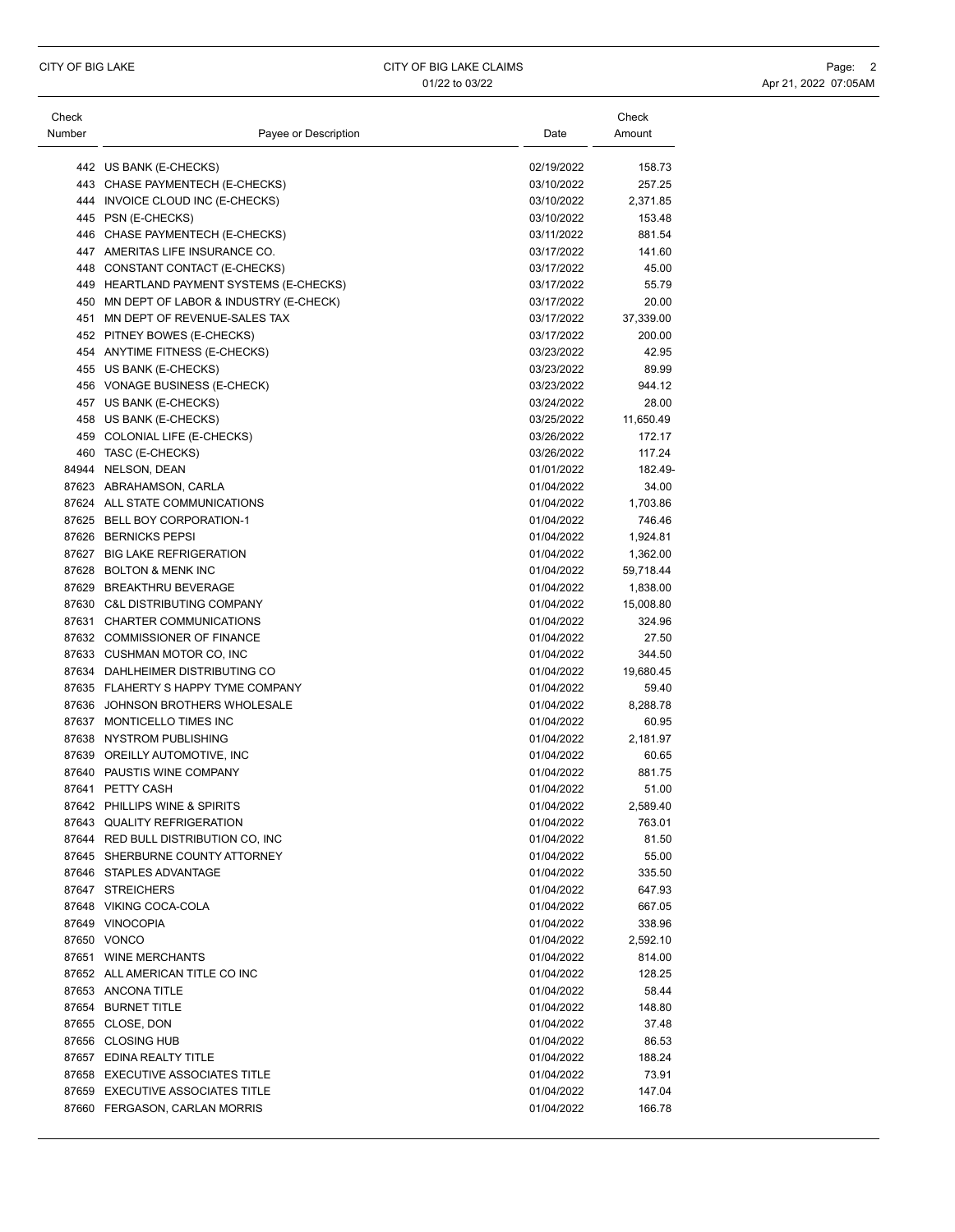| Check  |                                           |                          | Check            |
|--------|-------------------------------------------|--------------------------|------------------|
| Number | Payee or Description                      | Date                     | Amount           |
|        | 442 US BANK (E-CHECKS)                    | 02/19/2022               | 158.73           |
|        | 443 CHASE PAYMENTECH (E-CHECKS)           | 03/10/2022               | 257.25           |
|        | 444 INVOICE CLOUD INC (E-CHECKS)          | 03/10/2022               | 2,371.85         |
|        | 445 PSN (E-CHECKS)                        | 03/10/2022               | 153.48           |
|        | 446 CHASE PAYMENTECH (E-CHECKS)           | 03/11/2022               | 881.54           |
|        | 447 AMERITAS LIFE INSURANCE CO.           | 03/17/2022               | 141.60           |
|        | 448 CONSTANT CONTACT (E-CHECKS)           | 03/17/2022               | 45.00            |
|        | 449 HEARTLAND PAYMENT SYSTEMS (E-CHECKS)  | 03/17/2022               | 55.79            |
|        | 450 MN DEPT OF LABOR & INDUSTRY (E-CHECK) | 03/17/2022               | 20.00            |
|        | 451 MN DEPT OF REVENUE-SALES TAX          | 03/17/2022               | 37,339.00        |
|        | 452 PITNEY BOWES (E-CHECKS)               | 03/17/2022               | 200.00           |
|        | 454 ANYTIME FITNESS (E-CHECKS)            | 03/23/2022               | 42.95            |
|        | 455 US BANK (E-CHECKS)                    | 03/23/2022               | 89.99            |
|        | 456 VONAGE BUSINESS (E-CHECK)             | 03/23/2022               | 944.12           |
|        | 457 US BANK (E-CHECKS)                    | 03/24/2022               | 28.00            |
|        | 458 US BANK (E-CHECKS)                    | 03/25/2022               | 11,650.49        |
|        | 459 COLONIAL LIFE (E-CHECKS)              | 03/26/2022               |                  |
|        |                                           | 03/26/2022               | 172.17<br>117.24 |
|        | 460 TASC (E-CHECKS)                       |                          |                  |
|        | 84944 NELSON, DEAN                        | 01/01/2022               | 182.49-          |
|        | 87623 ABRAHAMSON, CARLA                   | 01/04/2022               | 34.00            |
|        | 87624 ALL STATE COMMUNICATIONS            | 01/04/2022               | 1.703.86         |
|        | 87625 BELL BOY CORPORATION-1              | 01/04/2022<br>01/04/2022 | 746.46           |
|        | 87626 BERNICKS PEPSI                      |                          | 1,924.81         |
|        | 87627 BIG LAKE REFRIGERATION              | 01/04/2022               | 1,362.00         |
|        | 87628 BOLTON & MENK INC                   | 01/04/2022               | 59,718.44        |
|        | 87629 BREAKTHRU BEVERAGE                  | 01/04/2022               | 1,838.00         |
|        | 87630 C&L DISTRIBUTING COMPANY            | 01/04/2022               | 15,008.80        |
|        | 87631 CHARTER COMMUNICATIONS              | 01/04/2022               | 324.96           |
|        | 87632 COMMISSIONER OF FINANCE             | 01/04/2022               | 27.50            |
|        | 87633 CUSHMAN MOTOR CO, INC               | 01/04/2022               | 344.50           |
|        | 87634 DAHLHEIMER DISTRIBUTING CO          | 01/04/2022               | 19,680.45        |
|        | 87635 FLAHERTY S HAPPY TYME COMPANY       | 01/04/2022               | 59.40            |
|        | 87636 JOHNSON BROTHERS WHOLESALE          | 01/04/2022               | 8,288.78         |
|        | 87637 MONTICELLO TIMES INC                | 01/04/2022               | 60.95            |
|        | 87638 NYSTROM PUBLISHING                  | 01/04/2022               | 2,181.97         |
|        | 87639 OREILLY AUTOMOTIVE, INC             | 01/04/2022               | 60.65            |
|        | 87640 PAUSTIS WINE COMPANY                | 01/04/2022               | 881.75           |
|        | 87641 PETTY CASH                          | 01/04/2022               | 51.00            |
|        | 87642 PHILLIPS WINE & SPIRITS             | 01/04/2022               | 2,589.40         |
|        | 87643 QUALITY REFRIGERATION               | 01/04/2022               | 763.01           |
|        | 87644 RED BULL DISTRIBUTION CO, INC       | 01/04/2022               | 81.50            |
|        | 87645 SHERBURNE COUNTY ATTORNEY           | 01/04/2022               | 55.00            |
|        | 87646 STAPLES ADVANTAGE                   | 01/04/2022               | 335.50           |
|        | 87647 STREICHERS                          | 01/04/2022               | 647.93           |
|        | 87648 VIKING COCA-COLA                    | 01/04/2022               | 667.05           |
|        | 87649 VINOCOPIA                           | 01/04/2022               | 338.96           |
|        | 87650 VONCO                               | 01/04/2022               | 2,592.10         |
|        | 87651 WINE MERCHANTS                      | 01/04/2022               | 814.00           |
|        | 87652 ALL AMERICAN TITLE CO INC           | 01/04/2022               | 128.25           |
|        | 87653 ANCONA TITLE                        | 01/04/2022               | 58.44            |
|        | 87654 BURNET TITLE                        | 01/04/2022               | 148.80           |
|        | 87655 CLOSE, DON                          | 01/04/2022               | 37.48            |
|        | 87656 CLOSING HUB                         | 01/04/2022               | 86.53            |
|        | 87657 EDINA REALTY TITLE                  | 01/04/2022               | 188.24           |
|        | 87658 EXECUTIVE ASSOCIATES TITLE          | 01/04/2022               | 73.91            |
|        | 87659 EXECUTIVE ASSOCIATES TITLE          | 01/04/2022               | 147.04           |
|        | 87660 FERGASON, CARLAN MORRIS             | 01/04/2022               | 166.78           |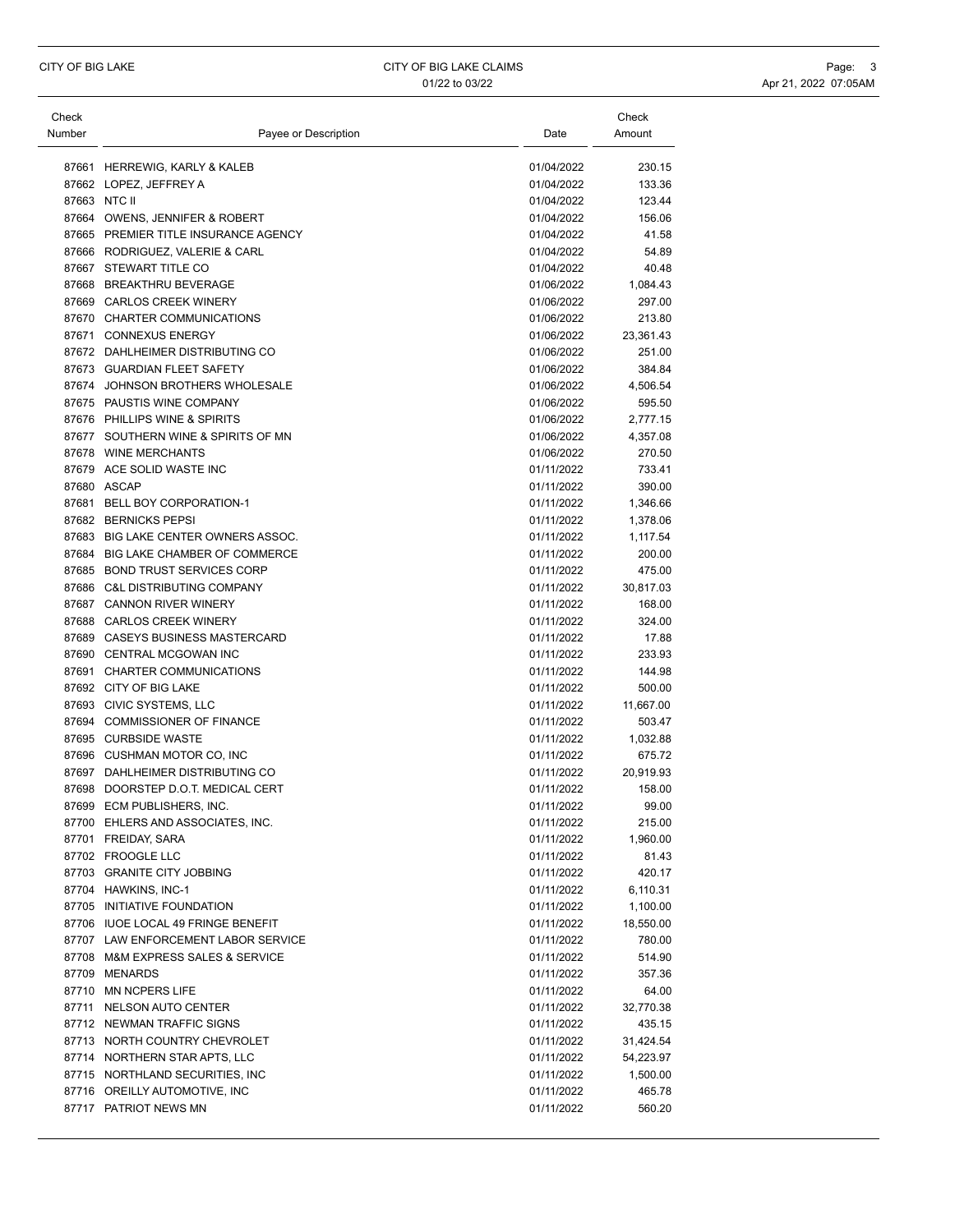| Check  |                                      |            | Check     |
|--------|--------------------------------------|------------|-----------|
| Number | Payee or Description                 | Date       | Amount    |
|        | 87661 HERREWIG, KARLY & KALEB        | 01/04/2022 | 230.15    |
|        | 87662 LOPEZ, JEFFREY A               | 01/04/2022 | 133.36    |
|        | 87663 NTC II                         | 01/04/2022 | 123.44    |
|        | 87664 OWENS, JENNIFER & ROBERT       | 01/04/2022 | 156.06    |
|        | 87665 PREMIER TITLE INSURANCE AGENCY | 01/04/2022 | 41.58     |
|        | 87666 RODRIGUEZ, VALERIE & CARL      | 01/04/2022 | 54.89     |
|        | 87667 STEWART TITLE CO               | 01/04/2022 | 40.48     |
|        | 87668 BREAKTHRU BEVERAGE             | 01/06/2022 | 1,084.43  |
|        | 87669 CARLOS CREEK WINERY            | 01/06/2022 | 297.00    |
|        | 87670 CHARTER COMMUNICATIONS         | 01/06/2022 | 213.80    |
|        | 87671 CONNEXUS ENERGY                | 01/06/2022 | 23,361.43 |
|        | 87672 DAHLHEIMER DISTRIBUTING CO     | 01/06/2022 | 251.00    |
|        | 87673 GUARDIAN FLEET SAFETY          | 01/06/2022 | 384.84    |
|        | 87674 JOHNSON BROTHERS WHOLESALE     | 01/06/2022 | 4,506.54  |
|        | 87675 PAUSTIS WINE COMPANY           | 01/06/2022 | 595.50    |
|        | 87676 PHILLIPS WINE & SPIRITS        | 01/06/2022 | 2,777.15  |
|        | 87677 SOUTHERN WINE & SPIRITS OF MN  | 01/06/2022 | 4,357.08  |
|        | 87678 WINE MERCHANTS                 | 01/06/2022 | 270.50    |
|        | 87679 ACE SOLID WASTE INC            | 01/11/2022 | 733.41    |
|        | 87680 ASCAP                          | 01/11/2022 | 390.00    |
|        | 87681 BELL BOY CORPORATION-1         | 01/11/2022 | 1,346.66  |
|        | 87682 BERNICKS PEPSI                 | 01/11/2022 | 1,378.06  |
|        | 87683 BIG LAKE CENTER OWNERS ASSOC.  | 01/11/2022 | 1,117.54  |
|        | 87684 BIG LAKE CHAMBER OF COMMERCE   | 01/11/2022 | 200.00    |
|        | 87685 BOND TRUST SERVICES CORP       | 01/11/2022 | 475.00    |
|        | 87686 C&L DISTRIBUTING COMPANY       | 01/11/2022 | 30,817.03 |
|        | 87687 CANNON RIVER WINERY            | 01/11/2022 | 168.00    |
|        | 87688 CARLOS CREEK WINERY            | 01/11/2022 | 324.00    |
|        | 87689 CASEYS BUSINESS MASTERCARD     | 01/11/2022 | 17.88     |
|        | 87690 CENTRAL MCGOWAN INC            | 01/11/2022 | 233.93    |
|        | 87691 CHARTER COMMUNICATIONS         | 01/11/2022 | 144.98    |
|        | 87692 CITY OF BIG LAKE               | 01/11/2022 | 500.00    |
|        | 87693 CIVIC SYSTEMS, LLC             | 01/11/2022 | 11,667.00 |
|        | 87694 COMMISSIONER OF FINANCE        | 01/11/2022 | 503.47    |
|        | 87695 CURBSIDE WASTE                 | 01/11/2022 | 1,032.88  |
|        | 87696 CUSHMAN MOTOR CO, INC          | 01/11/2022 | 675.72    |
|        | 87697 DAHLHEIMER DISTRIBUTING CO     | 01/11/2022 | 20,919.93 |
|        | 87698 DOORSTEP D.O.T. MEDICAL CERT   | 01/11/2022 | 158.00    |
|        | 87699 ECM PUBLISHERS, INC.           | 01/11/2022 | 99.00     |
|        | 87700 EHLERS AND ASSOCIATES, INC.    | 01/11/2022 | 215.00    |
|        | 87701 FREIDAY, SARA                  | 01/11/2022 | 1,960.00  |
|        | 87702 FROOGLE LLC                    | 01/11/2022 | 81.43     |
|        | 87703 GRANITE CITY JOBBING           | 01/11/2022 | 420.17    |
|        | 87704 HAWKINS, INC-1                 | 01/11/2022 | 6,110.31  |
|        | 87705 INITIATIVE FOUNDATION          | 01/11/2022 | 1,100.00  |
|        | 87706 IUOE LOCAL 49 FRINGE BENEFIT   | 01/11/2022 | 18,550.00 |
|        | 87707 LAW ENFORCEMENT LABOR SERVICE  | 01/11/2022 | 780.00    |
|        | 87708 M&M EXPRESS SALES & SERVICE    | 01/11/2022 | 514.90    |
|        | 87709 MENARDS                        | 01/11/2022 | 357.36    |
|        | 87710 MN NCPERS LIFE                 | 01/11/2022 | 64.00     |
|        | 87711 NELSON AUTO CENTER             | 01/11/2022 | 32,770.38 |
|        | 87712 NEWMAN TRAFFIC SIGNS           | 01/11/2022 | 435.15    |
|        | 87713 NORTH COUNTRY CHEVROLET        | 01/11/2022 | 31,424.54 |
|        | 87714 NORTHERN STAR APTS, LLC        | 01/11/2022 | 54,223.97 |
|        | 87715 NORTHLAND SECURITIES, INC      | 01/11/2022 | 1,500.00  |
|        | 87716 OREILLY AUTOMOTIVE, INC        | 01/11/2022 | 465.78    |
|        | 87717 PATRIOT NEWS MN                | 01/11/2022 | 560.20    |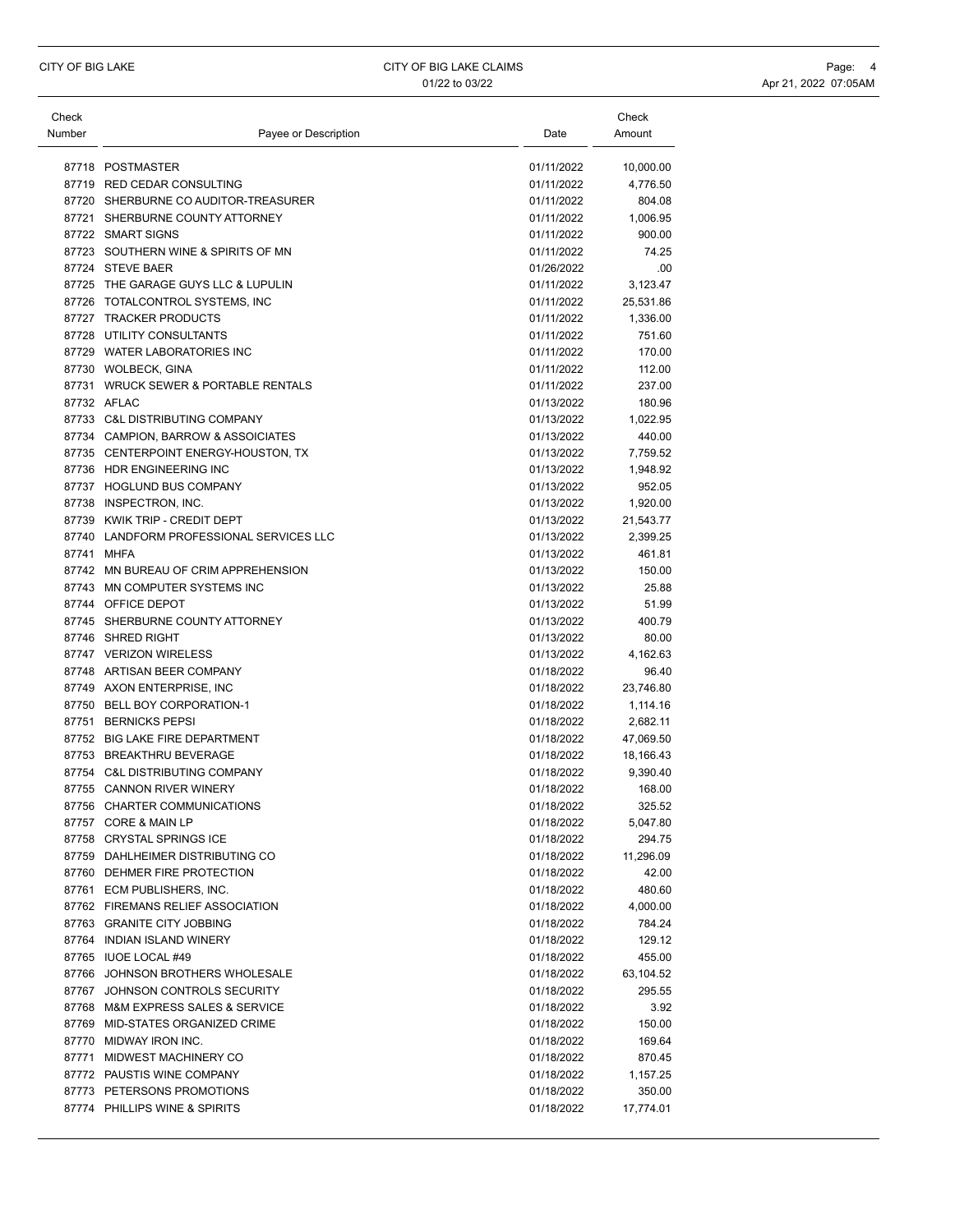| Check<br>Number | Payee or Description                     | Date       | Check<br>Amount |
|-----------------|------------------------------------------|------------|-----------------|
|                 | 87718 POSTMASTER                         | 01/11/2022 | 10,000.00       |
|                 | 87719 RED CEDAR CONSULTING               | 01/11/2022 | 4,776.50        |
|                 | 87720 SHERBURNE CO AUDITOR-TREASURER     | 01/11/2022 | 804.08          |
|                 | 87721 SHERBURNE COUNTY ATTORNEY          | 01/11/2022 | 1,006.95        |
|                 | 87722 SMART SIGNS                        | 01/11/2022 | 900.00          |
|                 | 87723 SOUTHERN WINE & SPIRITS OF MN      | 01/11/2022 | 74.25           |
|                 | 87724 STEVE BAER                         | 01/26/2022 | .00             |
|                 | 87725 THE GARAGE GUYS LLC & LUPULIN      | 01/11/2022 | 3,123.47        |
|                 | 87726 TOTALCONTROL SYSTEMS, INC          | 01/11/2022 | 25,531.86       |
|                 | 87727 TRACKER PRODUCTS                   | 01/11/2022 | 1,336.00        |
|                 | 87728 UTILITY CONSULTANTS                | 01/11/2022 | 751.60          |
|                 | 87729 WATER LABORATORIES INC             | 01/11/2022 | 170.00          |
|                 | 87730 WOLBECK, GINA                      | 01/11/2022 | 112.00          |
|                 | 87731 WRUCK SEWER & PORTABLE RENTALS     | 01/11/2022 | 237.00          |
|                 | 87732 AFLAC                              | 01/13/2022 | 180.96          |
|                 | 87733 C&L DISTRIBUTING COMPANY           | 01/13/2022 | 1,022.95        |
|                 | 87734 CAMPION, BARROW & ASSOICIATES      | 01/13/2022 | 440.00          |
|                 | 87735 CENTERPOINT ENERGY-HOUSTON, TX     | 01/13/2022 | 7,759.52        |
|                 | 87736 HDR ENGINEERING INC                | 01/13/2022 | 1,948.92        |
|                 | 87737 HOGLUND BUS COMPANY                | 01/13/2022 | 952.05          |
|                 | 87738 INSPECTRON, INC.                   | 01/13/2022 | 1,920.00        |
|                 | 87739 KWIK TRIP - CREDIT DEPT            | 01/13/2022 | 21,543.77       |
|                 | 87740 LANDFORM PROFESSIONAL SERVICES LLC | 01/13/2022 | 2,399.25        |
|                 | 87741 MHFA                               | 01/13/2022 | 461.81          |
|                 | 87742 MN BUREAU OF CRIM APPREHENSION     | 01/13/2022 | 150.00          |
|                 | 87743 MN COMPUTER SYSTEMS INC            | 01/13/2022 | 25.88           |
|                 | 87744 OFFICE DEPOT                       | 01/13/2022 | 51.99           |
|                 | 87745 SHERBURNE COUNTY ATTORNEY          | 01/13/2022 | 400.79          |
|                 | 87746 SHRED RIGHT                        | 01/13/2022 | 80.00           |
|                 | 87747 VERIZON WIRELESS                   | 01/13/2022 | 4,162.63        |
|                 | 87748 ARTISAN BEER COMPANY               | 01/18/2022 | 96.40           |
|                 | 87749 AXON ENTERPRISE, INC               | 01/18/2022 | 23,746.80       |
|                 | 87750 BELL BOY CORPORATION-1             | 01/18/2022 | 1,114.16        |
|                 | 87751 BERNICKS PEPSI                     | 01/18/2022 | 2,682.11        |
|                 | 87752 BIG LAKE FIRE DEPARTMENT           | 01/18/2022 | 47,069.50       |
|                 | 87753 BREAKTHRU BEVERAGE                 | 01/18/2022 | 18,166.43       |
|                 | 87754 C&L DISTRIBUTING COMPANY           | 01/18/2022 | 9,390.40        |
|                 | 87755 CANNON RIVER WINERY                | 01/18/2022 | 168.00          |
|                 | 87756 CHARTER COMMUNICATIONS             | 01/18/2022 | 325.52          |
|                 | 87757 CORE & MAIN LP                     | 01/18/2022 | 5,047.80        |
|                 | 87758 CRYSTAL SPRINGS ICE                | 01/18/2022 | 294.75          |
|                 | 87759 DAHLHEIMER DISTRIBUTING CO         | 01/18/2022 | 11,296.09       |
|                 | 87760 DEHMER FIRE PROTECTION             | 01/18/2022 | 42.00           |
|                 | 87761 ECM PUBLISHERS, INC.               | 01/18/2022 | 480.60          |
|                 | 87762 FIREMANS RELIEF ASSOCIATION        | 01/18/2022 | 4,000.00        |
|                 | 87763 GRANITE CITY JOBBING               | 01/18/2022 | 784.24          |
|                 | 87764 INDIAN ISLAND WINERY               | 01/18/2022 | 129.12          |
|                 | 87765 IUOE LOCAL #49                     | 01/18/2022 | 455.00          |
|                 | 87766 JOHNSON BROTHERS WHOLESALE         | 01/18/2022 | 63,104.52       |
|                 | 87767 JOHNSON CONTROLS SECURITY          | 01/18/2022 | 295.55          |
|                 | 87768 M&M EXPRESS SALES & SERVICE        | 01/18/2022 | 3.92            |
|                 | 87769 MID-STATES ORGANIZED CRIME         | 01/18/2022 | 150.00          |
|                 | 87770 MIDWAY IRON INC.                   | 01/18/2022 | 169.64          |
|                 | 87771 MIDWEST MACHINERY CO               | 01/18/2022 | 870.45          |
|                 | 87772 PAUSTIS WINE COMPANY               | 01/18/2022 | 1,157.25        |
|                 | 87773 PETERSONS PROMOTIONS               | 01/18/2022 | 350.00          |
|                 | 87774 PHILLIPS WINE & SPIRITS            | 01/18/2022 | 17,774.01       |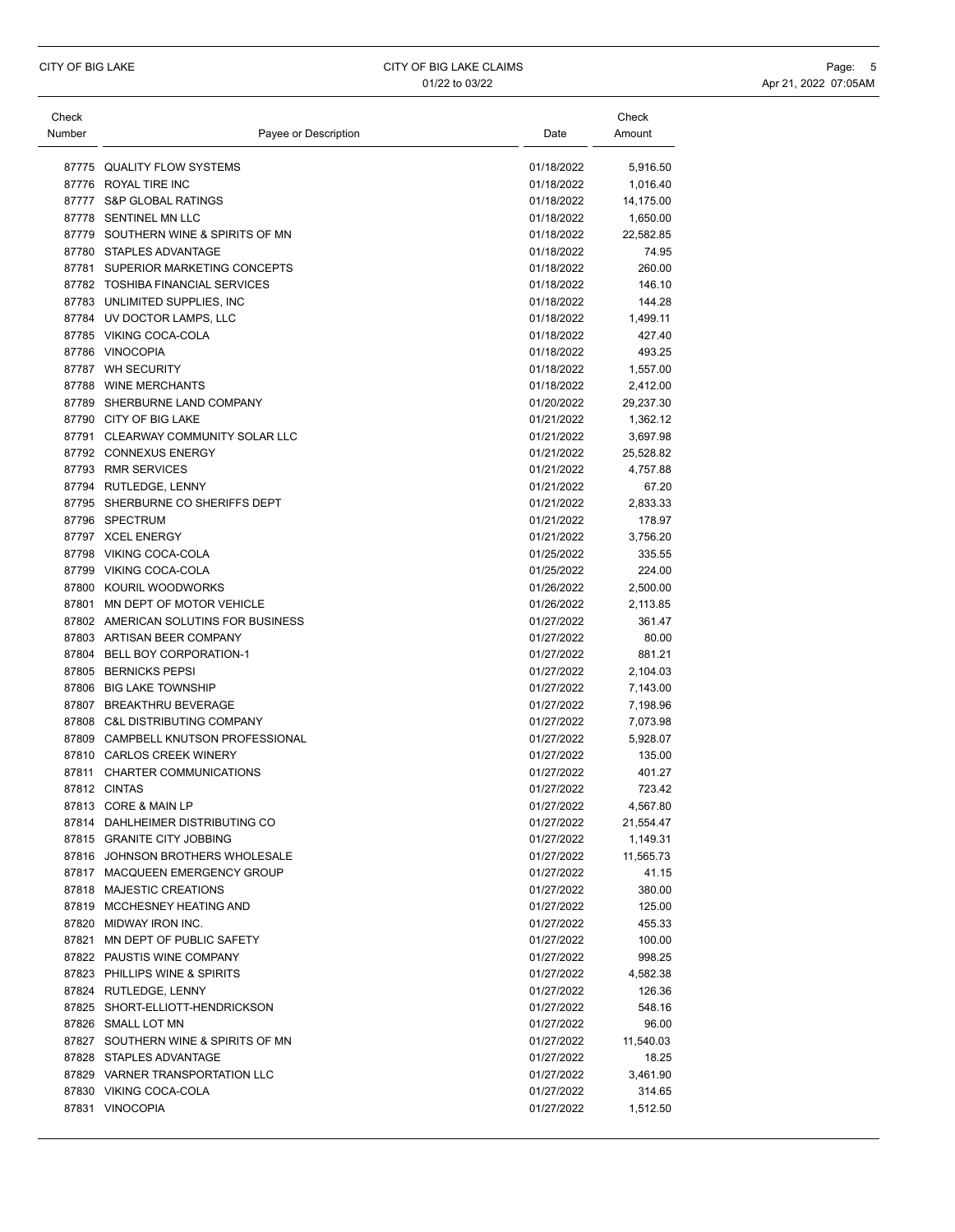| Check  |                                      |            | Check     |
|--------|--------------------------------------|------------|-----------|
| Number | Payee or Description                 | Date       | Amount    |
|        | 87775 QUALITY FLOW SYSTEMS           | 01/18/2022 | 5,916.50  |
|        | 87776 ROYAL TIRE INC                 | 01/18/2022 | 1,016.40  |
| 87777  | <b>S&amp;P GLOBAL RATINGS</b>        | 01/18/2022 | 14,175.00 |
|        | 87778 SENTINEL MN LLC                | 01/18/2022 | 1,650.00  |
|        | 87779 SOUTHERN WINE & SPIRITS OF MN  | 01/18/2022 | 22,582.85 |
|        | 87780 STAPLES ADVANTAGE              | 01/18/2022 | 74.95     |
|        | 87781 SUPERIOR MARKETING CONCEPTS    | 01/18/2022 | 260.00    |
|        | 87782 TOSHIBA FINANCIAL SERVICES     | 01/18/2022 | 146.10    |
|        | 87783 UNLIMITED SUPPLIES, INC        | 01/18/2022 | 144.28    |
|        | 87784 UV DOCTOR LAMPS, LLC           | 01/18/2022 | 1,499.11  |
|        | 87785 VIKING COCA-COLA               | 01/18/2022 | 427.40    |
|        | 87786 VINOCOPIA                      | 01/18/2022 | 493.25    |
|        | 87787 WH SECURITY                    | 01/18/2022 | 1,557.00  |
|        | 87788 WINE MERCHANTS                 | 01/18/2022 | 2,412.00  |
|        | 87789 SHERBURNE LAND COMPANY         | 01/20/2022 | 29,237.30 |
|        | 87790 CITY OF BIG LAKE               | 01/21/2022 | 1,362.12  |
|        | 87791 CLEARWAY COMMUNITY SOLAR LLC   | 01/21/2022 | 3,697.98  |
|        | 87792 CONNEXUS ENERGY                | 01/21/2022 | 25,528.82 |
|        | 87793 RMR SERVICES                   | 01/21/2022 | 4,757.88  |
|        | 87794 RUTLEDGE, LENNY                | 01/21/2022 | 67.20     |
|        | 87795 SHERBURNE CO SHERIFFS DEPT     | 01/21/2022 | 2,833.33  |
|        | 87796 SPECTRUM                       | 01/21/2022 | 178.97    |
|        | 87797 XCEL ENERGY                    | 01/21/2022 | 3,756.20  |
|        | 87798 VIKING COCA-COLA               | 01/25/2022 | 335.55    |
|        | 87799 VIKING COCA-COLA               | 01/25/2022 | 224.00    |
|        | 87800 KOURIL WOODWORKS               | 01/26/2022 | 2,500.00  |
| 87801  | MN DEPT OF MOTOR VEHICLE             | 01/26/2022 | 2,113.85  |
|        | 87802 AMERICAN SOLUTINS FOR BUSINESS | 01/27/2022 | 361.47    |
|        | 87803 ARTISAN BEER COMPANY           | 01/27/2022 | 80.00     |
|        | 87804 BELL BOY CORPORATION-1         | 01/27/2022 | 881.21    |
|        | 87805 BERNICKS PEPSI                 | 01/27/2022 | 2,104.03  |
|        | 87806 BIG LAKE TOWNSHIP              | 01/27/2022 | 7,143.00  |
|        | 87807 BREAKTHRU BEVERAGE             | 01/27/2022 | 7,198.96  |
|        | 87808 C&L DISTRIBUTING COMPANY       | 01/27/2022 | 7,073.98  |
|        | 87809 CAMPBELL KNUTSON PROFESSIONAL  | 01/27/2022 | 5,928.07  |
|        | 87810 CARLOS CREEK WINERY            | 01/27/2022 | 135.00    |
| 87811  | <b>CHARTER COMMUNICATIONS</b>        | 01/27/2022 | 401.27    |
|        | 87812 CINTAS                         | 01/27/2022 | 723.42    |
|        | 87813 CORE & MAIN LP                 | 01/27/2022 | 4.567.80  |
|        | 87814 DAHLHEIMER DISTRIBUTING CO     | 01/27/2022 | 21,554.47 |
|        | 87815 GRANITE CITY JOBBING           | 01/27/2022 | 1,149.31  |
|        | 87816 JOHNSON BROTHERS WHOLESALE     | 01/27/2022 | 11,565.73 |
|        | 87817 MACQUEEN EMERGENCY GROUP       | 01/27/2022 | 41.15     |
|        | 87818 MAJESTIC CREATIONS             | 01/27/2022 | 380.00    |
|        | 87819 MCCHESNEY HEATING AND          | 01/27/2022 | 125.00    |
|        | 87820 MIDWAY IRON INC.               | 01/27/2022 | 455.33    |
|        | 87821 MN DEPT OF PUBLIC SAFETY       | 01/27/2022 | 100.00    |
|        | 87822 PAUSTIS WINE COMPANY           | 01/27/2022 | 998.25    |
|        | 87823 PHILLIPS WINE & SPIRITS        | 01/27/2022 | 4,582.38  |
|        | 87824 RUTLEDGE, LENNY                | 01/27/2022 | 126.36    |
|        | 87825 SHORT-ELLIOTT-HENDRICKSON      | 01/27/2022 | 548.16    |
|        | 87826 SMALL LOT MN                   | 01/27/2022 | 96.00     |
|        | 87827 SOUTHERN WINE & SPIRITS OF MN  | 01/27/2022 | 11,540.03 |
|        | 87828 STAPLES ADVANTAGE              | 01/27/2022 | 18.25     |
|        | 87829 VARNER TRANSPORTATION LLC      | 01/27/2022 | 3,461.90  |
|        | 87830 VIKING COCA-COLA               | 01/27/2022 | 314.65    |
|        | 87831 VINOCOPIA                      | 01/27/2022 | 1,512.50  |
|        |                                      |            |           |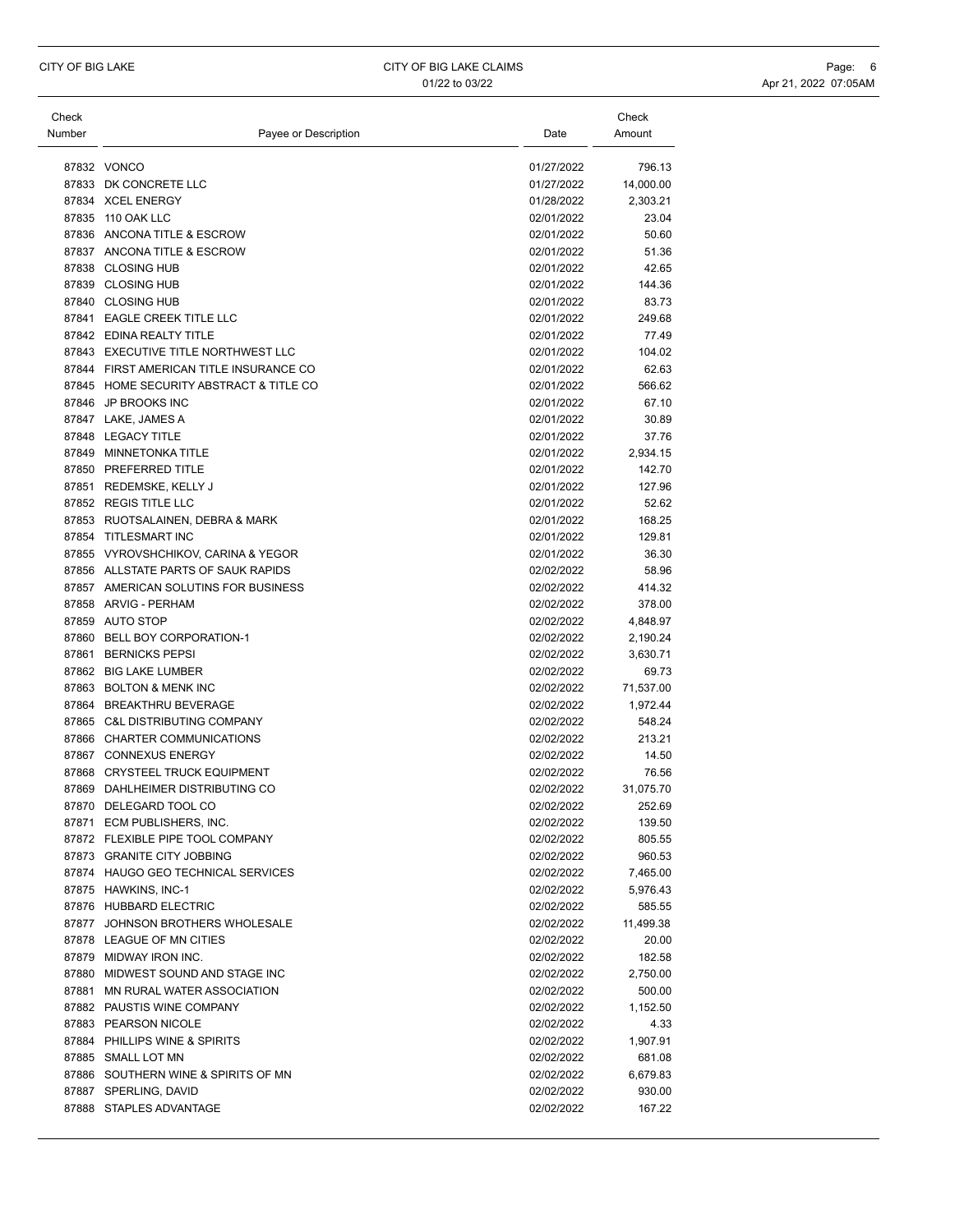| Check  |                                         |            | Check     |
|--------|-----------------------------------------|------------|-----------|
| Number | Payee or Description                    | Date       | Amount    |
|        |                                         |            |           |
|        | 87832 VONCO                             | 01/27/2022 | 796.13    |
|        | 87833 DK CONCRETE LLC                   | 01/27/2022 | 14,000.00 |
|        | 87834 XCEL ENERGY                       | 01/28/2022 | 2,303.21  |
|        | 87835 110 OAK LLC                       | 02/01/2022 | 23.04     |
|        | 87836 ANCONA TITLE & ESCROW             | 02/01/2022 | 50.60     |
|        | 87837 ANCONA TITLE & ESCROW             | 02/01/2022 | 51.36     |
|        | 87838 CLOSING HUB                       | 02/01/2022 | 42.65     |
|        | 87839 CLOSING HUB                       | 02/01/2022 | 144.36    |
|        | 87840 CLOSING HUB                       | 02/01/2022 | 83.73     |
|        | 87841 EAGLE CREEK TITLE LLC             | 02/01/2022 | 249.68    |
|        | 87842 EDINA REALTY TITLE                | 02/01/2022 | 77.49     |
|        | 87843 EXECUTIVE TITLE NORTHWEST LLC     | 02/01/2022 | 104.02    |
|        | 87844 FIRST AMERICAN TITLE INSURANCE CO | 02/01/2022 | 62.63     |
|        | 87845 HOME SECURITY ABSTRACT & TITLE CO | 02/01/2022 | 566.62    |
|        | 87846 JP BROOKS INC                     | 02/01/2022 | 67.10     |
|        |                                         |            |           |
|        | 87847 LAKE, JAMES A                     | 02/01/2022 | 30.89     |
|        | 87848 LEGACY TITLE                      | 02/01/2022 | 37.76     |
|        | 87849 MINNETONKA TITLE                  | 02/01/2022 | 2,934.15  |
|        | 87850 PREFERRED TITLE                   | 02/01/2022 | 142.70    |
|        | 87851 REDEMSKE, KELLY J                 | 02/01/2022 | 127.96    |
|        | 87852 REGIS TITLE LLC                   | 02/01/2022 | 52.62     |
|        | 87853 RUOTSALAINEN, DEBRA & MARK        | 02/01/2022 | 168.25    |
| 87854  | TITLESMART INC                          | 02/01/2022 | 129.81    |
|        | 87855 VYROVSHCHIKOV, CARINA & YEGOR     | 02/01/2022 | 36.30     |
|        | 87856 ALLSTATE PARTS OF SAUK RAPIDS     | 02/02/2022 | 58.96     |
|        | 87857 AMERICAN SOLUTINS FOR BUSINESS    | 02/02/2022 | 414.32    |
|        | 87858 ARVIG - PERHAM                    | 02/02/2022 | 378.00    |
|        | 87859 AUTO STOP                         | 02/02/2022 | 4,848.97  |
|        | 87860 BELL BOY CORPORATION-1            | 02/02/2022 | 2,190.24  |
| 87861  | <b>BERNICKS PEPSI</b>                   | 02/02/2022 | 3,630.71  |
|        | 87862 BIG LAKE LUMBER                   | 02/02/2022 | 69.73     |
|        | 87863 BOLTON & MENK INC                 | 02/02/2022 | 71,537.00 |
| 87864  | <b>BREAKTHRU BEVERAGE</b>               | 02/02/2022 | 1,972.44  |
|        | 87865 C&L DISTRIBUTING COMPANY          | 02/02/2022 | 548.24    |
|        | 87866 CHARTER COMMUNICATIONS            | 02/02/2022 | 213.21    |
|        | 87867 CONNEXUS ENERGY                   | 02/02/2022 | 14.50     |
|        | 87868 CRYSTEEL TRUCK EQUIPMENT          | 02/02/2022 | 76.56     |
|        | 87869 DAHLHEIMER DISTRIBUTING CO        | 02/02/2022 | 31,075.70 |
|        | 87870 DELEGARD TOOL CO                  | 02/02/2022 | 252.69    |
|        | 87871 ECM PUBLISHERS, INC.              | 02/02/2022 | 139.50    |
|        | 87872 FLEXIBLE PIPE TOOL COMPANY        | 02/02/2022 | 805.55    |
|        | 87873 GRANITE CITY JOBBING              | 02/02/2022 | 960.53    |
|        | 87874 HAUGO GEO TECHNICAL SERVICES      | 02/02/2022 | 7,465.00  |
|        | 87875 HAWKINS, INC-1                    | 02/02/2022 | 5,976.43  |
|        | 87876 HUBBARD ELECTRIC                  | 02/02/2022 | 585.55    |
|        | 87877 JOHNSON BROTHERS WHOLESALE        | 02/02/2022 | 11,499.38 |
|        | 87878 LEAGUE OF MN CITIES               | 02/02/2022 | 20.00     |
|        | 87879 MIDWAY IRON INC.                  | 02/02/2022 | 182.58    |
|        | 87880 MIDWEST SOUND AND STAGE INC       | 02/02/2022 | 2,750.00  |
|        | 87881 MN RURAL WATER ASSOCIATION        | 02/02/2022 | 500.00    |
|        | 87882 PAUSTIS WINE COMPANY              | 02/02/2022 | 1,152.50  |
|        | 87883 PEARSON NICOLE                    | 02/02/2022 |           |
|        |                                         |            | 4.33      |
|        | 87884 PHILLIPS WINE & SPIRITS           | 02/02/2022 | 1,907.91  |
|        | 87885 SMALL LOT MN                      | 02/02/2022 | 681.08    |
|        | 87886 SOUTHERN WINE & SPIRITS OF MN     | 02/02/2022 | 6,679.83  |
|        | 87887 SPERLING, DAVID                   | 02/02/2022 | 930.00    |
|        | 87888 STAPLES ADVANTAGE                 | 02/02/2022 | 167.22    |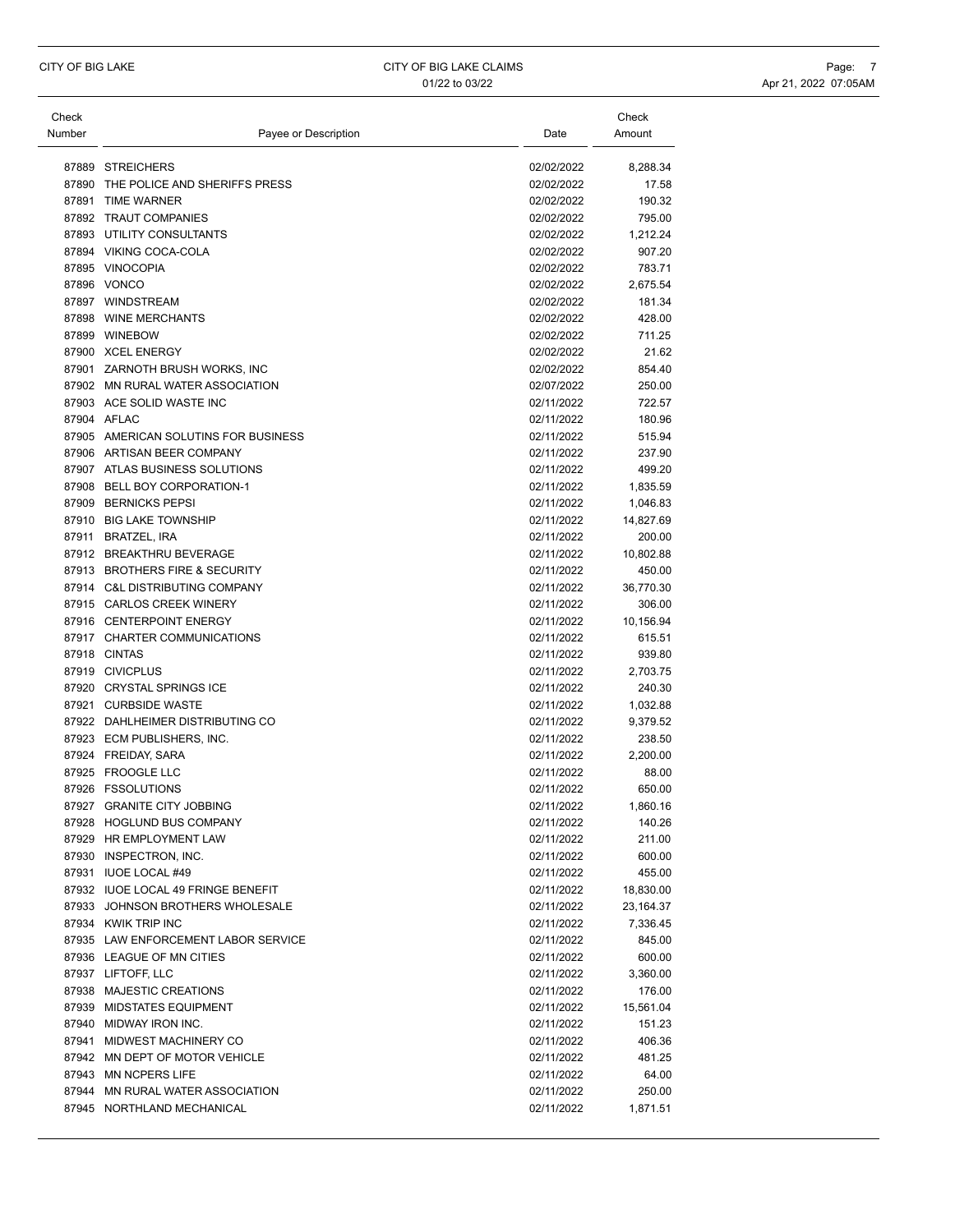| Check<br>Number | Payee or Description                         | Date                     | Check<br>Amount    |
|-----------------|----------------------------------------------|--------------------------|--------------------|
| 87889           | <b>STREICHERS</b>                            | 02/02/2022               | 8,288.34           |
| 87890           | THE POLICE AND SHERIFFS PRESS                | 02/02/2022               | 17.58              |
|                 | 87891 TIME WARNER                            | 02/02/2022               | 190.32             |
|                 | 87892 TRAUT COMPANIES                        | 02/02/2022               | 795.00             |
|                 | 87893 UTILITY CONSULTANTS                    | 02/02/2022               | 1,212.24           |
|                 | 87894 VIKING COCA-COLA                       | 02/02/2022               | 907.20             |
|                 | 87895 VINOCOPIA                              | 02/02/2022               | 783.71             |
|                 | 87896 VONCO                                  | 02/02/2022               | 2,675.54           |
|                 | 87897 WINDSTREAM                             | 02/02/2022               | 181.34             |
|                 | 87898 WINE MERCHANTS                         | 02/02/2022               | 428.00             |
|                 | 87899 WINEBOW                                | 02/02/2022               | 711.25             |
|                 | 87900 XCEL ENERGY                            | 02/02/2022               | 21.62              |
|                 | 87901 ZARNOTH BRUSH WORKS, INC               | 02/02/2022               | 854.40             |
|                 | 87902 MN RURAL WATER ASSOCIATION             | 02/07/2022               | 250.00             |
|                 | 87903 ACE SOLID WASTE INC                    | 02/11/2022               | 722.57             |
|                 | 87904 AFLAC                                  | 02/11/2022               | 180.96             |
|                 | 87905 AMERICAN SOLUTINS FOR BUSINESS         | 02/11/2022               | 515.94             |
|                 | 87906 ARTISAN BEER COMPANY                   | 02/11/2022               | 237.90             |
|                 | 87907 ATLAS BUSINESS SOLUTIONS               | 02/11/2022               | 499.20             |
|                 | 87908 BELL BOY CORPORATION-1                 | 02/11/2022               | 1,835.59           |
|                 | 87909 BERNICKS PEPSI                         | 02/11/2022               | 1,046.83           |
|                 | 87910 BIG LAKE TOWNSHIP                      | 02/11/2022               | 14,827.69          |
|                 | 87911 BRATZEL. IRA                           | 02/11/2022               | 200.00             |
|                 | 87912 BREAKTHRU BEVERAGE                     | 02/11/2022               | 10,802.88          |
|                 | 87913 BROTHERS FIRE & SECURITY               | 02/11/2022               | 450.00             |
|                 | 87914 C&L DISTRIBUTING COMPANY               | 02/11/2022               | 36,770.30          |
|                 | 87915 CARLOS CREEK WINERY                    | 02/11/2022               | 306.00             |
|                 | 87916 CENTERPOINT ENERGY                     | 02/11/2022               | 10,156.94          |
|                 | 87917 CHARTER COMMUNICATIONS<br>87918 CINTAS | 02/11/2022               | 615.51             |
|                 | 87919 CIVICPLUS                              | 02/11/2022<br>02/11/2022 | 939.80<br>2,703.75 |
|                 | 87920 CRYSTAL SPRINGS ICE                    | 02/11/2022               | 240.30             |
|                 | 87921 CURBSIDE WASTE                         | 02/11/2022               | 1,032.88           |
|                 | 87922 DAHLHEIMER DISTRIBUTING CO             | 02/11/2022               | 9,379.52           |
|                 | 87923 ECM PUBLISHERS, INC.                   | 02/11/2022               | 238.50             |
|                 | 87924 FREIDAY, SARA                          | 02/11/2022               | 2,200.00           |
|                 | 87925 FROOGLE LLC                            | 02/11/2022               | 88.00              |
|                 | 87926 FSSOLUTIONS                            | 02/11/2022               | 650.00             |
| 87927           | <b>GRANITE CITY JOBBING</b>                  | 02/11/2022               | 1,860.16           |
|                 | 87928 HOGLUND BUS COMPANY                    | 02/11/2022               | 140.26             |
|                 | 87929 HR EMPLOYMENT LAW                      | 02/11/2022               | 211.00             |
|                 | 87930 INSPECTRON, INC.                       | 02/11/2022               | 600.00             |
|                 | 87931 IUOE LOCAL #49                         | 02/11/2022               | 455.00             |
|                 | 87932 IUOE LOCAL 49 FRINGE BENEFIT           | 02/11/2022               | 18,830.00          |
|                 | 87933 JOHNSON BROTHERS WHOLESALE             | 02/11/2022               | 23,164.37          |
|                 | 87934 KWIK TRIP INC                          | 02/11/2022               | 7,336.45           |
|                 | 87935 LAW ENFORCEMENT LABOR SERVICE          | 02/11/2022               | 845.00             |
|                 | 87936 LEAGUE OF MN CITIES                    | 02/11/2022               | 600.00             |
|                 | 87937 LIFTOFF, LLC                           | 02/11/2022               | 3,360.00           |
|                 | 87938 MAJESTIC CREATIONS                     | 02/11/2022               | 176.00             |
|                 | 87939 MIDSTATES EQUIPMENT                    | 02/11/2022               | 15,561.04          |
|                 | 87940 MIDWAY IRON INC.                       | 02/11/2022               | 151.23             |
|                 | 87941 MIDWEST MACHINERY CO                   | 02/11/2022               | 406.36             |
|                 | 87942 MN DEPT OF MOTOR VEHICLE               | 02/11/2022               | 481.25             |
|                 | 87943 MN NCPERS LIFE                         | 02/11/2022               | 64.00              |
|                 | 87944 MN RURAL WATER ASSOCIATION             | 02/11/2022               | 250.00             |
|                 | 87945 NORTHLAND MECHANICAL                   | 02/11/2022               | 1,871.51           |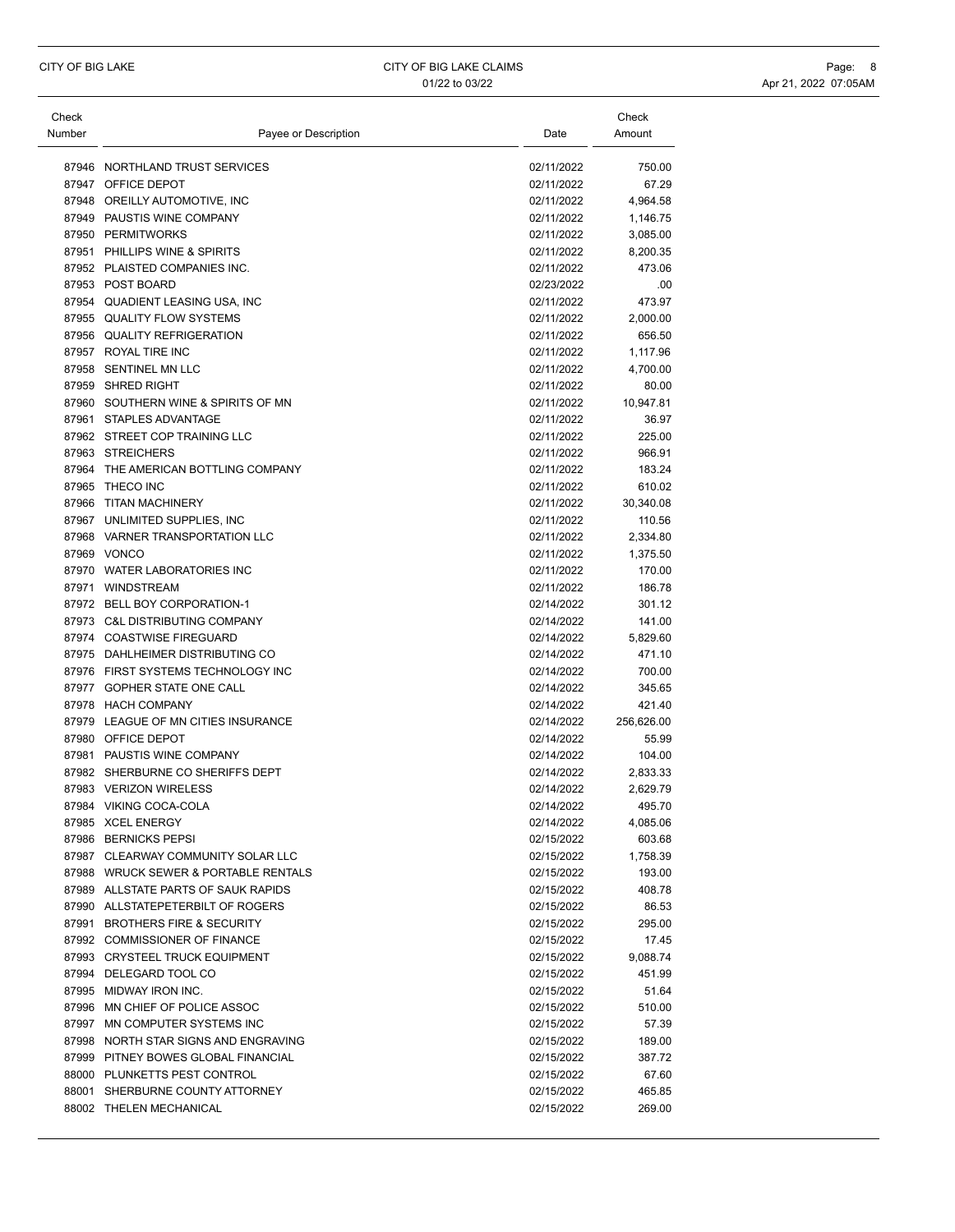| Check  |                                      |                          | Check             |
|--------|--------------------------------------|--------------------------|-------------------|
| Number | Payee or Description                 | Date                     | Amount            |
|        | 87946 NORTHLAND TRUST SERVICES       | 02/11/2022               | 750.00            |
|        | 87947 OFFICE DEPOT                   | 02/11/2022               | 67.29             |
|        | 87948 OREILLY AUTOMOTIVE, INC        | 02/11/2022               | 4,964.58          |
|        | 87949 PAUSTIS WINE COMPANY           | 02/11/2022               | 1,146.75          |
|        | 87950 PERMITWORKS                    | 02/11/2022               | 3,085.00          |
|        | 87951 PHILLIPS WINE & SPIRITS        | 02/11/2022               | 8,200.35          |
|        | 87952 PLAISTED COMPANIES INC.        | 02/11/2022               | 473.06            |
|        | 87953 POST BOARD                     | 02/23/2022               | .00               |
|        | 87954 QUADIENT LEASING USA, INC      | 02/11/2022               | 473.97            |
|        | 87955 QUALITY FLOW SYSTEMS           | 02/11/2022               | 2,000.00          |
|        | 87956 QUALITY REFRIGERATION          | 02/11/2022               | 656.50            |
|        | 87957 ROYAL TIRE INC                 | 02/11/2022               |                   |
|        | 87958 SENTINEL MN LLC                | 02/11/2022               | 1,117.96          |
|        | 87959 SHRED RIGHT                    | 02/11/2022               | 4,700.00<br>80.00 |
|        | 87960 SOUTHERN WINE & SPIRITS OF MN  | 02/11/2022               |                   |
|        | 87961 STAPLES ADVANTAGE              |                          | 10,947.81         |
|        | 87962 STREET COP TRAINING LLC        | 02/11/2022               | 36.97             |
|        | 87963 STREICHERS                     | 02/11/2022               | 225.00            |
|        |                                      | 02/11/2022<br>02/11/2022 | 966.91            |
| 87964  | THE AMERICAN BOTTLING COMPANY        |                          | 183.24            |
|        | 87965 THECO INC                      | 02/11/2022               | 610.02            |
|        | 87966 TITAN MACHINERY                | 02/11/2022               | 30,340.08         |
|        | 87967 UNLIMITED SUPPLIES, INC        | 02/11/2022               | 110.56            |
|        | 87968 VARNER TRANSPORTATION LLC      | 02/11/2022               | 2,334.80          |
|        | 87969 VONCO                          | 02/11/2022               | 1,375.50          |
|        | 87970 WATER LABORATORIES INC         | 02/11/2022               | 170.00            |
|        | 87971 WINDSTREAM                     | 02/11/2022               | 186.78            |
|        | 87972 BELL BOY CORPORATION-1         | 02/14/2022               | 301.12            |
|        | 87973 C&L DISTRIBUTING COMPANY       | 02/14/2022               | 141.00            |
|        | 87974 COASTWISE FIREGUARD            | 02/14/2022               | 5,829.60          |
|        | 87975 DAHLHEIMER DISTRIBUTING CO     | 02/14/2022               | 471.10            |
|        | 87976 FIRST SYSTEMS TECHNOLOGY INC   | 02/14/2022               | 700.00            |
|        | 87977 GOPHER STATE ONE CALL          | 02/14/2022               | 345.65            |
|        | 87978 HACH COMPANY                   | 02/14/2022               | 421.40            |
|        | 87979 LEAGUE OF MN CITIES INSURANCE  | 02/14/2022               | 256,626.00        |
|        | 87980 OFFICE DEPOT                   | 02/14/2022               | 55.99             |
|        | 87981 PAUSTIS WINE COMPANY           | 02/14/2022               | 104.00            |
|        | 87982 SHERBURNE CO SHERIFFS DEPT     | 02/14/2022               | 2,833.33          |
|        | 87983 VERIZON WIRELESS               | 02/14/2022               | 2,629.79          |
|        | 87984 VIKING COCA-COLA               | 02/14/2022               | 495.70            |
|        | 87985 XCEL ENERGY                    | 02/14/2022               | 4,085.06          |
|        | 87986 BERNICKS PEPSI                 | 02/15/2022               | 603.68            |
|        | 87987 CLEARWAY COMMUNITY SOLAR LLC   | 02/15/2022               | 1,758.39          |
|        | 87988 WRUCK SEWER & PORTABLE RENTALS | 02/15/2022               | 193.00            |
|        | 87989 ALLSTATE PARTS OF SAUK RAPIDS  | 02/15/2022               | 408.78            |
|        | 87990 ALLSTATEPETERBILT OF ROGERS    | 02/15/2022               | 86.53             |
|        | 87991 BROTHERS FIRE & SECURITY       | 02/15/2022               | 295.00            |
|        | 87992 COMMISSIONER OF FINANCE        | 02/15/2022               | 17.45             |
|        | 87993 CRYSTEEL TRUCK EQUIPMENT       | 02/15/2022               | 9,088.74          |
|        | 87994 DELEGARD TOOL CO               | 02/15/2022               | 451.99            |
|        | 87995 MIDWAY IRON INC.               | 02/15/2022               | 51.64             |
|        | 87996 MN CHIEF OF POLICE ASSOC       | 02/15/2022               | 510.00            |
|        | 87997 MN COMPUTER SYSTEMS INC        | 02/15/2022               | 57.39             |
|        | 87998 NORTH STAR SIGNS AND ENGRAVING | 02/15/2022               | 189.00            |
|        | 87999 PITNEY BOWES GLOBAL FINANCIAL  | 02/15/2022               | 387.72            |
|        | 88000 PLUNKETTS PEST CONTROL         | 02/15/2022               | 67.60             |
|        | 88001 SHERBURNE COUNTY ATTORNEY      | 02/15/2022               | 465.85            |
|        | 88002 THELEN MECHANICAL              | 02/15/2022               | 269.00            |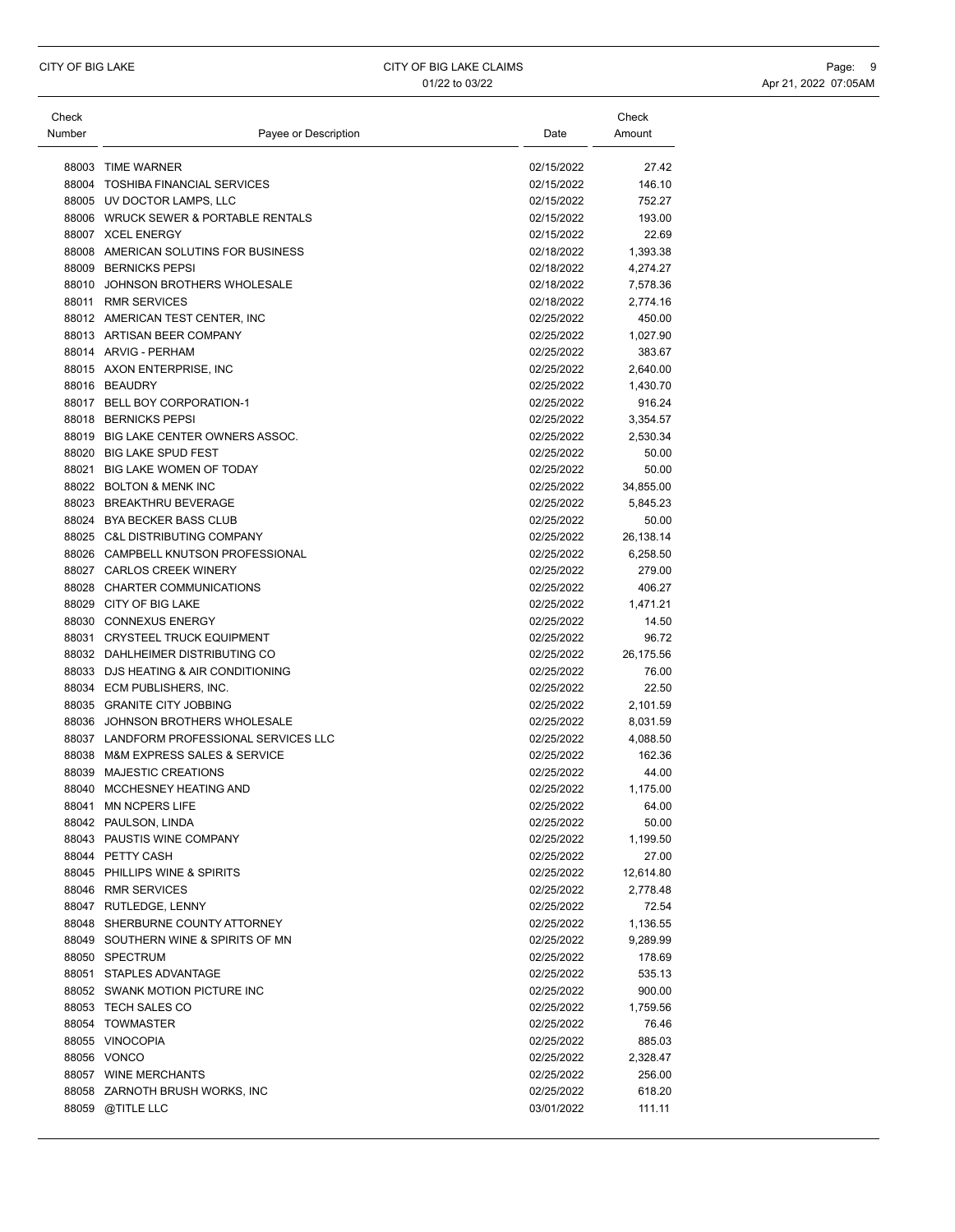| Check  |                                          |            | Check     |
|--------|------------------------------------------|------------|-----------|
| Number | Payee or Description                     | Date       | Amount    |
|        | 88003 TIME WARNER                        | 02/15/2022 | 27.42     |
|        | 88004 TOSHIBA FINANCIAL SERVICES         | 02/15/2022 | 146.10    |
|        | 88005 UV DOCTOR LAMPS, LLC               | 02/15/2022 | 752.27    |
|        | 88006 WRUCK SEWER & PORTABLE RENTALS     | 02/15/2022 | 193.00    |
|        | 88007 XCEL ENERGY                        | 02/15/2022 | 22.69     |
|        | 88008 AMERICAN SOLUTINS FOR BUSINESS     | 02/18/2022 | 1,393.38  |
|        | 88009 BERNICKS PEPSI                     | 02/18/2022 | 4,274.27  |
|        | 88010 JOHNSON BROTHERS WHOLESALE         | 02/18/2022 | 7,578.36  |
|        | 88011 RMR SERVICES                       | 02/18/2022 | 2,774.16  |
|        | 88012 AMERICAN TEST CENTER, INC          | 02/25/2022 | 450.00    |
|        | 88013 ARTISAN BEER COMPANY               | 02/25/2022 | 1,027.90  |
|        | 88014 ARVIG - PERHAM                     | 02/25/2022 | 383.67    |
|        | 88015 AXON ENTERPRISE, INC               | 02/25/2022 | 2,640.00  |
|        | 88016 BEAUDRY                            | 02/25/2022 | 1,430.70  |
|        | 88017 BELL BOY CORPORATION-1             | 02/25/2022 | 916.24    |
|        | 88018 BERNICKS PEPSI                     | 02/25/2022 | 3,354.57  |
|        | 88019 BIG LAKE CENTER OWNERS ASSOC.      | 02/25/2022 | 2,530.34  |
|        | 88020 BIG LAKE SPUD FEST                 | 02/25/2022 | 50.00     |
|        | 88021 BIG LAKE WOMEN OF TODAY            | 02/25/2022 | 50.00     |
|        | 88022 BOLTON & MENK INC                  | 02/25/2022 | 34,855.00 |
|        | 88023 BREAKTHRU BEVERAGE                 | 02/25/2022 | 5,845.23  |
|        | 88024 BYA BECKER BASS CLUB               | 02/25/2022 | 50.00     |
|        | 88025 C&L DISTRIBUTING COMPANY           | 02/25/2022 | 26,138.14 |
|        | 88026 CAMPBELL KNUTSON PROFESSIONAL      | 02/25/2022 | 6,258.50  |
|        | 88027 CARLOS CREEK WINERY                | 02/25/2022 | 279.00    |
|        | 88028 CHARTER COMMUNICATIONS             | 02/25/2022 | 406.27    |
|        | 88029 CITY OF BIG LAKE                   | 02/25/2022 | 1,471.21  |
|        | 88030 CONNEXUS ENERGY                    | 02/25/2022 | 14.50     |
|        | 88031 CRYSTEEL TRUCK EQUIPMENT           | 02/25/2022 | 96.72     |
|        | 88032 DAHLHEIMER DISTRIBUTING CO         | 02/25/2022 | 26,175.56 |
|        | 88033 DJS HEATING & AIR CONDITIONING     | 02/25/2022 | 76.00     |
|        | 88034 ECM PUBLISHERS, INC.               | 02/25/2022 | 22.50     |
|        | 88035 GRANITE CITY JOBBING               | 02/25/2022 | 2,101.59  |
|        | 88036 JOHNSON BROTHERS WHOLESALE         | 02/25/2022 | 8,031.59  |
|        | 88037 LANDFORM PROFESSIONAL SERVICES LLC | 02/25/2022 | 4,088.50  |
|        | 88038 M&M EXPRESS SALES & SERVICE        | 02/25/2022 | 162.36    |
| 88039  | <b>MAJESTIC CREATIONS</b>                | 02/25/2022 | 44.00     |
| 88040  | MCCHESNEY HEATING AND                    | 02/25/2022 | 1,175.00  |
| 88041  | <b>MN NCPERS LIFE</b>                    | 02/25/2022 | 64.00     |
|        | 88042 PAULSON, LINDA                     | 02/25/2022 | 50.00     |
|        | 88043 PAUSTIS WINE COMPANY               | 02/25/2022 | 1,199.50  |
|        | 88044 PETTY CASH                         | 02/25/2022 | 27.00     |
|        | 88045 PHILLIPS WINE & SPIRITS            | 02/25/2022 | 12,614.80 |
|        | 88046 RMR SERVICES                       | 02/25/2022 | 2,778.48  |
|        | 88047 RUTLEDGE, LENNY                    | 02/25/2022 | 72.54     |
|        | 88048 SHERBURNE COUNTY ATTORNEY          | 02/25/2022 | 1,136.55  |
|        | 88049 SOUTHERN WINE & SPIRITS OF MN      | 02/25/2022 | 9,289.99  |
|        | 88050 SPECTRUM                           | 02/25/2022 | 178.69    |
|        | 88051 STAPLES ADVANTAGE                  | 02/25/2022 | 535.13    |
|        | 88052 SWANK MOTION PICTURE INC           | 02/25/2022 | 900.00    |
|        | 88053 TECH SALES CO                      | 02/25/2022 | 1,759.56  |
|        | 88054 TOWMASTER                          | 02/25/2022 | 76.46     |
|        | 88055 VINOCOPIA                          | 02/25/2022 | 885.03    |
|        | 88056 VONCO                              | 02/25/2022 | 2,328.47  |
|        | 88057 WINE MERCHANTS                     | 02/25/2022 | 256.00    |
|        | 88058 ZARNOTH BRUSH WORKS, INC           | 02/25/2022 | 618.20    |
|        |                                          |            |           |
|        | 88059 @TITLE LLC                         | 03/01/2022 | 111.11    |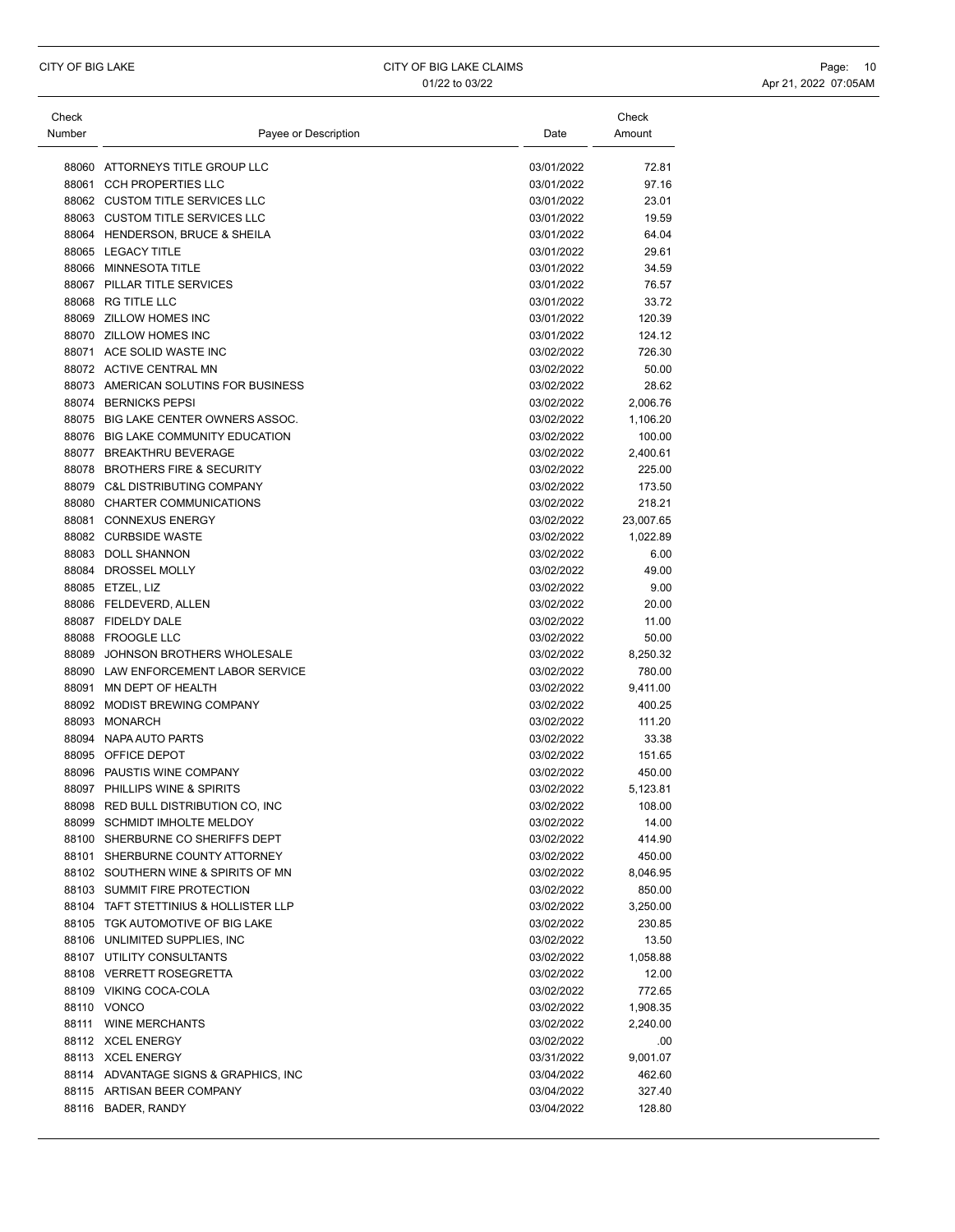| Check<br>Number | Payee or Description                               | Date                     | Check<br>Amount |
|-----------------|----------------------------------------------------|--------------------------|-----------------|
|                 | 88060 ATTORNEYS TITLE GROUP LLC                    | 03/01/2022               | 72.81           |
| 88061           | <b>CCH PROPERTIES LLC</b>                          | 03/01/2022               | 97.16           |
|                 | 88062 CUSTOM TITLE SERVICES LLC                    | 03/01/2022               | 23.01           |
|                 | 88063 CUSTOM TITLE SERVICES LLC                    | 03/01/2022               | 19.59           |
|                 | 88064 HENDERSON, BRUCE & SHEILA                    | 03/01/2022               | 64.04           |
|                 | 88065 LEGACY TITLE                                 | 03/01/2022               | 29.61           |
|                 | 88066 MINNESOTA TITLE                              | 03/01/2022               | 34.59           |
|                 | 88067 PILLAR TITLE SERVICES                        | 03/01/2022               | 76.57           |
|                 | 88068 RG TITLE LLC                                 | 03/01/2022               | 33.72           |
|                 | 88069 ZILLOW HOMES INC                             | 03/01/2022               | 120.39          |
|                 | 88070 ZILLOW HOMES INC                             | 03/01/2022               | 124.12          |
|                 | 88071 ACE SOLID WASTE INC                          | 03/02/2022               | 726.30          |
|                 | 88072 ACTIVE CENTRAL MN                            | 03/02/2022               | 50.00           |
|                 | 88073 AMERICAN SOLUTINS FOR BUSINESS               | 03/02/2022               | 28.62           |
|                 | 88074 BERNICKS PEPSI                               | 03/02/2022               | 2,006.76        |
|                 | 88075 BIG LAKE CENTER OWNERS ASSOC.                | 03/02/2022               | 1,106.20        |
|                 | 88076 BIG LAKE COMMUNITY EDUCATION                 | 03/02/2022               | 100.00          |
|                 | 88077 BREAKTHRU BEVERAGE                           | 03/02/2022               | 2,400.61        |
|                 | 88078 BROTHERS FIRE & SECURITY                     | 03/02/2022               | 225.00          |
|                 | 88079 C&L DISTRIBUTING COMPANY                     | 03/02/2022               | 173.50          |
|                 | 88080 CHARTER COMMUNICATIONS                       | 03/02/2022               | 218.21          |
|                 | 88081 CONNEXUS ENERGY                              | 03/02/2022               | 23,007.65       |
|                 | 88082 CURBSIDE WASTE                               | 03/02/2022               | 1,022.89        |
|                 | 88083 DOLL SHANNON                                 | 03/02/2022               | 6.00            |
|                 | 88084 DROSSEL MOLLY                                | 03/02/2022               | 49.00           |
|                 | 88085 ETZEL, LIZ                                   | 03/02/2022               | 9.00            |
|                 | 88086 FELDEVERD, ALLEN                             | 03/02/2022               | 20.00           |
|                 | 88087 FIDELDY DALE                                 | 03/02/2022               | 11.00           |
|                 | 88088 FROOGLE LLC                                  | 03/02/2022               | 50.00           |
|                 | 88089 JOHNSON BROTHERS WHOLESALE                   | 03/02/2022               | 8,250.32        |
|                 | 88090 LAW ENFORCEMENT LABOR SERVICE                | 03/02/2022               | 780.00          |
| 88091           | MN DEPT OF HEALTH                                  | 03/02/2022               | 9,411.00        |
|                 | 88092 MODIST BREWING COMPANY                       | 03/02/2022               | 400.25          |
|                 | 88093 MONARCH                                      | 03/02/2022               | 111.20          |
|                 | 88094 NAPA AUTO PARTS                              | 03/02/2022               | 33.38           |
|                 | 88095 OFFICE DEPOT                                 | 03/02/2022               | 151.65          |
|                 | 88096 PAUSTIS WINE COMPANY                         | 03/02/2022               | 450.00          |
|                 | 88097 PHILLIPS WINE & SPIRITS                      | 03/02/2022               | 5,123.81        |
|                 | 88098 RED BULL DISTRIBUTION CO, INC                | 03/02/2022               | 108.00          |
|                 | 88099 SCHMIDT IMHOLTE MELDOY                       | 03/02/2022               | 14.00           |
|                 | 88100 SHERBURNE CO SHERIFFS DEPT                   | 03/02/2022               | 414.90          |
|                 | 88101 SHERBURNE COUNTY ATTORNEY                    | 03/02/2022               | 450.00          |
|                 | 88102 SOUTHERN WINE & SPIRITS OF MN                | 03/02/2022               | 8,046.95        |
|                 | 88103 SUMMIT FIRE PROTECTION                       | 03/02/2022               | 850.00          |
|                 | 88104 TAFT STETTINIUS & HOLLISTER LLP              | 03/02/2022               | 3,250.00        |
|                 | 88105 TGK AUTOMOTIVE OF BIG LAKE                   | 03/02/2022               | 230.85          |
|                 | 88106 UNLIMITED SUPPLIES, INC                      | 03/02/2022               | 13.50           |
|                 | 88107 UTILITY CONSULTANTS                          | 03/02/2022               | 1,058.88        |
|                 | 88108 VERRETT ROSEGRETTA<br>88109 VIKING COCA-COLA | 03/02/2022<br>03/02/2022 | 12.00           |
|                 |                                                    |                          | 772.65          |
|                 | 88110 VONCO<br>88111 WINE MERCHANTS                | 03/02/2022               | 1,908.35        |
|                 |                                                    | 03/02/2022               | 2,240.00        |
|                 | 88112 XCEL ENERGY                                  | 03/02/2022               | .00             |
|                 | 88113 XCEL ENERGY                                  | 03/31/2022               | 9,001.07        |
|                 | 88114 ADVANTAGE SIGNS & GRAPHICS, INC              | 03/04/2022               | 462.60          |
|                 | 88115 ARTISAN BEER COMPANY                         | 03/04/2022               | 327.40          |
|                 | 88116 BADER, RANDY                                 | 03/04/2022               | 128.80          |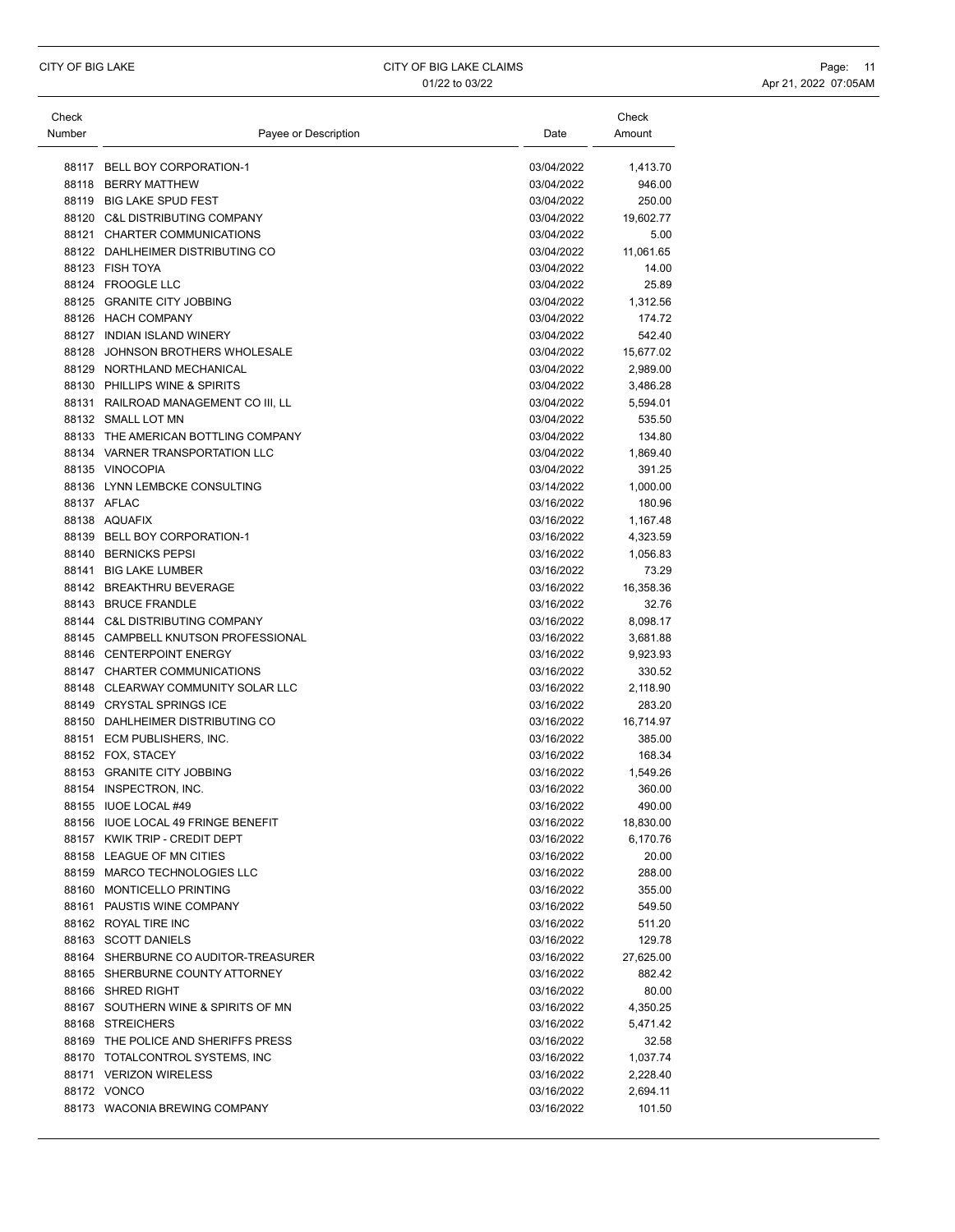| Check  |                                      |            | Check     |
|--------|--------------------------------------|------------|-----------|
| Number | Payee or Description                 | Date       | Amount    |
| 88117  | <b>BELL BOY CORPORATION-1</b>        | 03/04/2022 | 1,413.70  |
| 88118  | <b>BERRY MATTHEW</b>                 | 03/04/2022 | 946.00    |
|        | 88119 BIG LAKE SPUD FEST             | 03/04/2022 | 250.00    |
|        | 88120 C&L DISTRIBUTING COMPANY       | 03/04/2022 |           |
|        |                                      |            | 19,602.77 |
|        | 88121 CHARTER COMMUNICATIONS         | 03/04/2022 | 5.00      |
|        | 88122 DAHLHEIMER DISTRIBUTING CO     | 03/04/2022 | 11,061.65 |
|        | 88123 FISH TOYA                      | 03/04/2022 | 14.00     |
|        | 88124 FROOGLE LLC                    | 03/04/2022 | 25.89     |
|        | 88125 GRANITE CITY JOBBING           | 03/04/2022 | 1,312.56  |
|        | 88126 HACH COMPANY                   | 03/04/2022 | 174.72    |
|        | 88127 INDIAN ISLAND WINERY           | 03/04/2022 | 542.40    |
| 88128  | JOHNSON BROTHERS WHOLESALE           | 03/04/2022 | 15,677.02 |
|        | 88129 NORTHLAND MECHANICAL           | 03/04/2022 | 2,989.00  |
|        | 88130 PHILLIPS WINE & SPIRITS        | 03/04/2022 | 3,486.28  |
|        | 88131 RAILROAD MANAGEMENT CO III, LL | 03/04/2022 | 5,594.01  |
|        | 88132 SMALL LOT MN                   | 03/04/2022 | 535.50    |
|        | 88133 THE AMERICAN BOTTLING COMPANY  | 03/04/2022 | 134.80    |
|        | 88134 VARNER TRANSPORTATION LLC      | 03/04/2022 | 1,869.40  |
|        | 88135 VINOCOPIA                      | 03/04/2022 | 391.25    |
|        | 88136 LYNN LEMBCKE CONSULTING        | 03/14/2022 | 1,000.00  |
|        | 88137 AFLAC                          | 03/16/2022 | 180.96    |
|        | 88138 AQUAFIX                        | 03/16/2022 | 1,167.48  |
|        | 88139 BELL BOY CORPORATION-1         | 03/16/2022 | 4,323.59  |
|        | 88140 BERNICKS PEPSI                 | 03/16/2022 | 1,056.83  |
|        | 88141 BIG LAKE LUMBER                | 03/16/2022 | 73.29     |
|        | 88142 BREAKTHRU BEVERAGE             | 03/16/2022 | 16,358.36 |
|        | 88143 BRUCE FRANDLE                  | 03/16/2022 | 32.76     |
|        | 88144 C&L DISTRIBUTING COMPANY       | 03/16/2022 | 8,098.17  |
|        | 88145 CAMPBELL KNUTSON PROFESSIONAL  | 03/16/2022 | 3,681.88  |
|        | 88146 CENTERPOINT ENERGY             | 03/16/2022 | 9,923.93  |
|        | 88147 CHARTER COMMUNICATIONS         | 03/16/2022 | 330.52    |
|        | 88148 CLEARWAY COMMUNITY SOLAR LLC   | 03/16/2022 | 2,118.90  |
|        | 88149 CRYSTAL SPRINGS ICE            | 03/16/2022 | 283.20    |
|        | 88150 DAHLHEIMER DISTRIBUTING CO     |            |           |
|        |                                      | 03/16/2022 | 16,714.97 |
|        | 88151 ECM PUBLISHERS, INC.           | 03/16/2022 | 385.00    |
|        | 88152 FOX, STACEY                    | 03/16/2022 | 168.34    |
|        | 88153 GRANITE CITY JOBBING           | 03/16/2022 | 1,549.26  |
|        | 88154 INSPECTRON, INC.               | 03/16/2022 | 360.00    |
|        | 88155 IUOE LOCAL #49                 | 03/16/2022 | 490.00    |
|        | 88156 IUOE LOCAL 49 FRINGE BENEFIT   | 03/16/2022 | 18,830.00 |
|        | 88157 KWIK TRIP - CREDIT DEPT        | 03/16/2022 | 6,170.76  |
|        | 88158 LEAGUE OF MN CITIES            | 03/16/2022 | 20.00     |
|        | 88159 MARCO TECHNOLOGIES LLC         | 03/16/2022 | 288.00    |
|        | 88160 MONTICELLO PRINTING            | 03/16/2022 | 355.00    |
|        | 88161 PAUSTIS WINE COMPANY           | 03/16/2022 | 549.50    |
|        | 88162 ROYAL TIRE INC                 | 03/16/2022 | 511.20    |
|        | 88163 SCOTT DANIELS                  | 03/16/2022 | 129.78    |
|        | 88164 SHERBURNE CO AUDITOR-TREASURER | 03/16/2022 | 27,625.00 |
|        | 88165 SHERBURNE COUNTY ATTORNEY      | 03/16/2022 | 882.42    |
|        | 88166 SHRED RIGHT                    | 03/16/2022 | 80.00     |
|        | 88167 SOUTHERN WINE & SPIRITS OF MN  | 03/16/2022 | 4,350.25  |
|        | 88168 STREICHERS                     | 03/16/2022 | 5,471.42  |
|        | 88169 THE POLICE AND SHERIFFS PRESS  | 03/16/2022 | 32.58     |
|        | 88170 TOTALCONTROL SYSTEMS, INC      | 03/16/2022 | 1,037.74  |
|        | 88171 VERIZON WIRELESS               | 03/16/2022 | 2,228.40  |
|        | 88172 VONCO                          | 03/16/2022 | 2,694.11  |
|        | 88173 WACONIA BREWING COMPANY        | 03/16/2022 | 101.50    |
|        |                                      |            |           |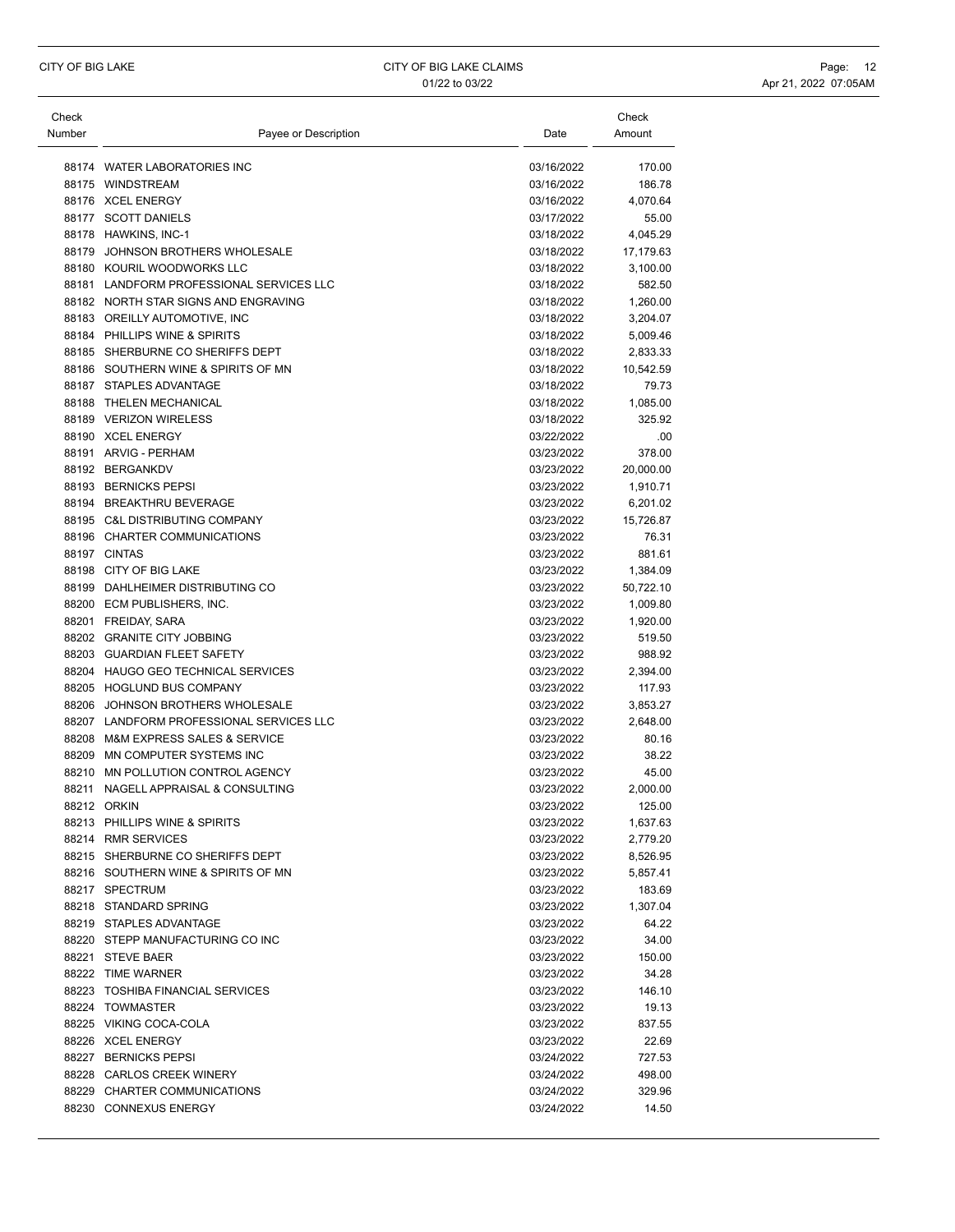| Check  |                                          |            | Check     |
|--------|------------------------------------------|------------|-----------|
| Number | Payee or Description                     | Date       | Amount    |
|        |                                          |            |           |
|        | 88174 WATER LABORATORIES INC             | 03/16/2022 | 170.00    |
|        | 88175 WINDSTREAM                         | 03/16/2022 | 186.78    |
|        | 88176 XCEL ENERGY                        | 03/16/2022 | 4,070.64  |
|        | 88177 SCOTT DANIELS                      | 03/17/2022 | 55.00     |
|        | 88178 HAWKINS, INC-1                     | 03/18/2022 | 4,045.29  |
|        | 88179 JOHNSON BROTHERS WHOLESALE         | 03/18/2022 | 17,179.63 |
|        | 88180 KOURIL WOODWORKS LLC               | 03/18/2022 | 3,100.00  |
|        | 88181 LANDFORM PROFESSIONAL SERVICES LLC | 03/18/2022 | 582.50    |
|        | 88182 NORTH STAR SIGNS AND ENGRAVING     | 03/18/2022 | 1,260.00  |
|        | 88183 OREILLY AUTOMOTIVE, INC            | 03/18/2022 | 3,204.07  |
|        | 88184 PHILLIPS WINE & SPIRITS            | 03/18/2022 | 5,009.46  |
|        | 88185 SHERBURNE CO SHERIFFS DEPT         | 03/18/2022 | 2,833.33  |
|        | 88186 SOUTHERN WINE & SPIRITS OF MN      | 03/18/2022 | 10,542.59 |
|        | 88187 STAPLES ADVANTAGE                  | 03/18/2022 | 79.73     |
|        | 88188 THELEN MECHANICAL                  | 03/18/2022 | 1,085.00  |
|        | 88189 VERIZON WIRELESS                   | 03/18/2022 | 325.92    |
|        | 88190 XCEL ENERGY                        | 03/22/2022 | .00       |
|        | 88191 ARVIG - PERHAM                     | 03/23/2022 | 378.00    |
|        | 88192 BERGANKDV                          | 03/23/2022 | 20,000.00 |
|        | 88193 BERNICKS PEPSI                     | 03/23/2022 | 1,910.71  |
|        | 88194 BREAKTHRU BEVERAGE                 | 03/23/2022 | 6,201.02  |
|        | 88195 C&L DISTRIBUTING COMPANY           | 03/23/2022 | 15,726.87 |
|        | 88196 CHARTER COMMUNICATIONS             | 03/23/2022 | 76.31     |
|        | 88197 CINTAS                             | 03/23/2022 | 881.61    |
|        | 88198 CITY OF BIG LAKE                   | 03/23/2022 | 1,384.09  |
|        | 88199 DAHLHEIMER DISTRIBUTING CO         | 03/23/2022 | 50,722.10 |
|        | 88200 ECM PUBLISHERS, INC.               | 03/23/2022 | 1,009.80  |
|        | 88201 FREIDAY, SARA                      | 03/23/2022 | 1,920.00  |
|        | 88202 GRANITE CITY JOBBING               | 03/23/2022 | 519.50    |
|        | 88203 GUARDIAN FLEET SAFETY              | 03/23/2022 | 988.92    |
|        | 88204 HAUGO GEO TECHNICAL SERVICES       | 03/23/2022 | 2,394.00  |
|        | 88205 HOGLUND BUS COMPANY                | 03/23/2022 | 117.93    |
|        | 88206 JOHNSON BROTHERS WHOLESALE         | 03/23/2022 | 3,853.27  |
|        | 88207 LANDFORM PROFESSIONAL SERVICES LLC | 03/23/2022 | 2,648.00  |
|        | 88208 M&M EXPRESS SALES & SERVICE        | 03/23/2022 | 80.16     |
| 88209  | MN COMPUTER SYSTEMS INC                  | 03/23/2022 | 38.22     |
| 88210  | MN POLLUTION CONTROL AGENCY              | 03/23/2022 | 45.00     |
| 88211  | NAGELL APPRAISAL & CONSULTING            | 03/23/2022 | 2,000.00  |
|        | 88212 ORKIN                              | 03/23/2022 | 125.00    |
|        | 88213 PHILLIPS WINE & SPIRITS            | 03/23/2022 | 1,637.63  |
|        | 88214 RMR SERVICES                       | 03/23/2022 | 2,779.20  |
|        | 88215 SHERBURNE CO SHERIFFS DEPT         | 03/23/2022 | 8,526.95  |
|        | 88216 SOUTHERN WINE & SPIRITS OF MN      | 03/23/2022 | 5,857.41  |
|        | 88217 SPECTRUM                           | 03/23/2022 | 183.69    |
|        | 88218 STANDARD SPRING                    | 03/23/2022 | 1,307.04  |
|        | 88219 STAPLES ADVANTAGE                  | 03/23/2022 | 64.22     |
|        | 88220 STEPP MANUFACTURING CO INC         | 03/23/2022 | 34.00     |
|        | 88221 STEVE BAER                         | 03/23/2022 | 150.00    |
|        | 88222 TIME WARNER                        | 03/23/2022 | 34.28     |
|        | 88223 TOSHIBA FINANCIAL SERVICES         | 03/23/2022 | 146.10    |
|        | 88224 TOWMASTER                          | 03/23/2022 | 19.13     |
|        | 88225 VIKING COCA-COLA                   | 03/23/2022 | 837.55    |
|        | 88226 XCEL ENERGY                        | 03/23/2022 | 22.69     |
|        | 88227 BERNICKS PEPSI                     | 03/24/2022 | 727.53    |
|        | 88228 CARLOS CREEK WINERY                | 03/24/2022 | 498.00    |
|        | 88229 CHARTER COMMUNICATIONS             | 03/24/2022 | 329.96    |
|        | 88230 CONNEXUS ENERGY                    | 03/24/2022 | 14.50     |
|        |                                          |            |           |